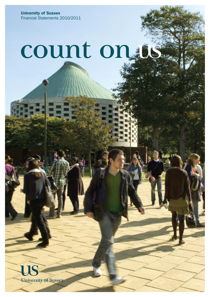**University of Sussex** Financial Statements 2010/2011

# count on the

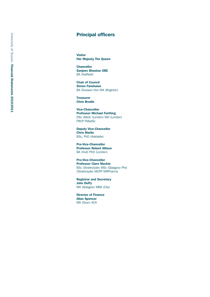# **Principal officers**

**Visitor Her Majesty The Queen** 

**Chancellor Sanjeev Bhaskar OBE** BA (Hatfield)

**Chair of Council Simon Fanshawe** BA (Sussex) Hon MA (Brighton)

**Treasurer Chris Brodie** 

**Vice-Chancellor Professor Michael Farthing** DSc (Med) (London) MD (London) FRCP FMedSc

**Deputy Vice-Chancellor Chris Marlin** BSc, PhD (Adelaide)

**Pro-Vice-Chancellor Professor Robert Allison** BA (Hull) PhD (London)

**Pro-Vice-Chancellor Professor Clare Mackie** BSc (Strathclyde) MSc (Glasgow) Phd (Strathclyde) MCPP MRPharms

**Registrar and Secretary J o h n D u ff y** MA (Glasgow) MBA (City)

**Director of Finance Allan Spencer** MA (Oxon) ACA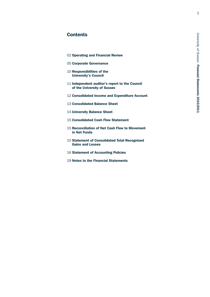# **Contents**

- 02 Operating and Financial Review
- 05 Corporate Governance
- 10 Responsibilities of the University's Council
- 11 Independent auditor's report to the Council of the University of Sussex
- 12 Consolidated Income and Expenditure Account
- 13 Consolidated Balance Sheet
- 14 University Balance Sheet
- 15 Consolidated Cash Flow Statement
- 15 Reconciliation of Net Cash Flow to Movement in Net Funds
- 15 Statement of Consolidated Total Recognised Gains and Losses
- **16 Statement of Accounting Policies**
- 19 Notes to the Financial Statements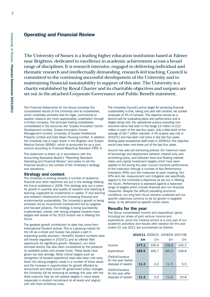# **Operating and Financial Review**

The University of Sussex is a leading higher education institution based at Falmer near Brighton, dedicated to excellence in academic achievement across a broad range of disciplines. It is research intensive, engaged in delivering individual and thematic research and intellectually demanding, research-led teaching. Council is committed to the continuing successful development of the University and to maintaining financial sustainability in support of this aim. The University is a charity established by Royal Charter and its charitable objectives and outputs are set out in the attached Corporate Governance and Public Benefit statement.

The Financial Statements for the Group comprise the consolidated results of the University and its subsidiaries, which undertake activities that for legal, commercial or taxation reasons are more appropriately undertaken through a limited company. The principal trading subsidiaries consolidated in the accounts are: Sussex Innovation Centre Development Limited, Sussex Innovation Centre Management Limited, University of Sussex Intellectual Property Limited and East Slope Housing Limited. In addition the University has a major share in the Brighton and Sussex Medical School (BSMS), which is accounted for as a joint venture according to Financial Reporting Standard (FRS) 9.

This statement is drawn up in accordance with the Accounting Standards Board's "Reporting Standard: Operating and Financial Review" and seeks to set the financial results in the context of the University's strategy and operations.

#### **Strategy and context**

The University is working towards a number of academic, financial and other objectives set out in the strategy *Making the future* published in 2009. This strategy sets out a vision for growth in quantity and quality of research and teaching & learning, supported by investments in capital, IT and learning and research infrastructure and increasing financial and environmental sustainability. The University's growth is being achieved not by incremental improvement but by targeted and focused projects. The strategy is being successfully implemented, overall, with strong progress towards many targets well ahead of the 2015 horizon set in *Making the future*.

The greatest growth contribution to date has come from International Student activity. This is a growing market for the UK as a whole and Sussex has played a part in expanding quality provision. Home/EU student numbers were still heavily regulated in 2010/11 and so offered little opportunity for significant growth. Research, our other principal activity has also been constrained by the pressure on available public and private funds. These areas have grown but less strongly. Other critical targets such as recognition of student experience have also been met early. Given the strong progress made in a number of these areas and the increase in opportunities for growth afforded by announced and likely future UK government policy changes, the University will be reviewing its strategy this year with the likely outcome that we will replace targets in many areas (especially in student recruitment at all levels and origins) with still more ambitious ones.

The University Council's prime target for achieving financial sustainability is that, taking one year with another, we publish surpluses of 4% of turnover. This objective serves as a benchmark for evaluating plans and performance and is largely being met: the operational surplus excluding nonrecurrent items has been in the range £3 million to £12 million in each of the last four years, only a little short of the average of £6-7 million required. A 4% surplus was met in 2010/11 and has been met twice in the last four years. Setting aside exceptional staff costs in 2009/10, the objective would have been met three out of the last four years.

Council has also set borrowing policies (for maximum level of borrowings and deployment between interest-only and amortising loans, and between fixed and floating interest rates) and capital investment targets which have been applied in full during the year. Council monitors performance of the institution through a number of Key Performance Indicators (KPIs) and risk measures at each meeting. Our KPIs and risk measurement and mitigation are specifically aligned to the University's objectives as set out in *Making the future*. Performance is assessed against a balanced range of targets which include financial and non financial measures. Despite the difficult prevailing economic conditions, our long term focus remains unaltered and our specific objectives continue to be for growth in targeted areas, to be delivered by specific action plans.

#### **Results for the year**

The Group consolidated income and expenditure (gross including our share of joint venture income and expenditure, since the medical school is a core part of our academic activities) and results after taxation for the year ended 31 July 2011 are summarised as follows:

| 2010/11 2009/10 2008/09 2007/08                                |       |                   |       |       |
|----------------------------------------------------------------|-------|-------------------|-------|-------|
|                                                                | £m    | £m<br>$f_{\rm m}$ |       |       |
| Income                                                         | 177.1 | 165.9             | 158.6 | 145.3 |
| Expenditure                                                    | 165.9 | 165.7             | 160.3 | 139.8 |
| (Deficit)/surplus<br>for the year before<br>disposal of assets | 11.3  | 0.2               | (1.7) | 5.5   |
| (Deficit)/surplus<br>for the year after                        |       |                   |       |       |
| disposal of assets                                             | 11.3  | 0.2               | (1.6) | 10.8  |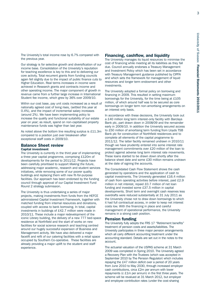The University's total income rose by 6.7% compared with the previous year.

Our strategy is for selective growth and diversification of our income base. Consolidation of the University's reputation for teaching excellence is key to this and to delivering our core activity. Total recurrent grants from funding councils again fell slightly due to the impact of public finance cuts to Higher Education. Real terms increases in income were achieved in Research grants and contracts income and other operating income. The major component of growth in revenue came from a further large increase in International Student fee income, which grew by 36% over 2009/10.

Within our cost base, pay unit costs increased as a result of nationally agreed cost of living rises, (settled this year at 0.4%), and the impact of incremental salary increases (around 2%). We have been implementing policy to increase the quality and functional suitability of our estate year on year; as result, spend on non-capitalised property maintenance funds was higher than last year.

As noted above the bottom line resulting surplus is £11.3m compared to a position just over breakeven after exceptional staff costs in 2009/10.

# **Balance Sheet review**

#### **Capital investment**

The University is currently in the third year of implementing a three year capital programme, comprising £120m of developments for the period to 2011/12. Projects have been carefully prioritised to support *Making the future*, addressing major academic, research and student services initiatives, while removing some of our poorer quality buildings and replacing them with new fit-for-purpose facilities. Our approach has been endorsed by the funding council through approval of our Capital Investment Fund Round 2 strategy submission.

The University is thus undertaking a series of major projects, making investments from funds from the HEFCE administered Capital Investment Framework, together with matched funding from internal resources and donations, coupled with access to bank borrowing. In total, capital investments in buildings of £42.7 million were made in 2010/11. These include a major redevelopment of the iconic Library building, the delivery of a new 777 bed-space residence at Northfield and the start of works on new facilities for social science research and teaching centred around our hugely successful expansion of Business and Management activity. We have also delivered a major facelift and refit of our catering facilities with a retail space occupied by Southern Co-operative. These facilities are already providing a major uplift to the student and staff experience.

#### **Financing, cashflow, and liquidity**

The University manages its liquid resources to minimise the cost of financing while meeting all its liabilities as they fall due. Council annually endorses a Treasury Management and Investment Policy which has been set in accordance with Treasury Management guidance published by CIPFA and which sets the framework for management of liquid resources and longer term endowment and other investments.

The University adopted a formal policy on borrowing and financing in 2009. This resulted in setting maximum borrowings for the University, for the time being at £105 million, of which around half was to be secured as core borrowings on longer term non-amortising arrangements on an interest only basis.

In accordance with these decisions, the University took out a £40 million long term interest-only facility with Barclays Bank plc, part drawn down in 2008/09 and the remainder early in 2009/10. In addition the University secured access to £50 million of amortising term funding from Lloyds TSB Bank plc for construction of Northfield residences and to complete all elements of the capital programme to 2011/12. The latter facility remained undrawn in 2010/11 though we have prudently entered into some interest rate management commitments over £20 million of the loan to protect against adverse long term interest rate movements. These loans started to be drawn down shortly after the balance sheet date and some £30 million remains undrawn at the date of signing the accounts.

The Consolidated Cash Flow Statement shows the cash generated by operations and the application of cash to capital investments. The University generated £16.4 million of cash from operating activities before interest, paid £2.9 million in net interest, repaid £0.7 million of net loan funding and invested some £37.5 million in capital developments. Short term and overnight cash reserves less overdrafts were reduced substantially at 31 July 2011 as the University chose not to draw down borrowings to which it had full contractual access, in order to keep net interest costs low. With the financing in place and careful management of operational performance, the University remains in a strong cash position.

#### **Pension funding**

The University fully adopts the FRS 17 "Retirement benefits" treatment of pension costs and assets/liabilities. The University participates in three major pension arrangements which all carry different accounting treatment under the accounting standard. Details are set out in the notes to the account.

The actuarial valuation of the USPAS scheme at 31 March 2009 was completed in Spring 2010. The University agreed a Recovery Plan with the Trustees (which was accepted in September 2010 by The Pension Regulator) which includes repaying the £47 million deficit over a period of 20 years from June 2010 to May 2030, through increased employer cash contributions, circa £2m per annum with lower repayments (c £1m per annum) in the first three years. The scheme will be revalued at 31 March 2012, but employer and employee contribution rates (under the cost-sharing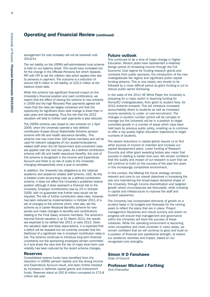# **Operating and Financial Review (continued)**

arrangement for cost increase) will not be reviewed until 2013/14.

The net liability on the USPAS self-administered trust scheme is held on our balance sheet. This would have increased but for the change in the Officials Pensions Act which replaces RPI with CPI to set the inflation rate which applies inter alia to pensions in payment. The outcome is a reduction of around £8.5 million in net liability, to £25.5 million at the balance sheet date.

While this scheme has significant financial impact on the University's financial position and cash contributions, we expect that the effect of closing the scheme to new entrants in 2009 and the high Recovery Plan payments agreed will mean that the risks are largely contained and that the opportunity for significant down-side change is lower than in past years and decreasing. Thus the risk that the 2012 valuation will lead to further cash payments is also reduced.

The USPAS scheme was closed to new entrants on 1 April 2009, when the University opened a new defined contribution Sussex Group Stakeholder Scheme pension scheme with life and health assurance benefits,. This scheme now has more than 100 active members and will be used for relevant categories of non academic/academic related staff when the UK Government auto-enrolment rules are applied over the next two years. As a defined contribution scheme with life and health assurance benefits, the cost of this scheme is recognised in the Income and Expenditure Account and there is no risk of costs to the University changing retrospectively once a year is complete.

In addition, the University has obligations to the national academic and academic related staff scheme, USS. As this is treated under accounting rules as a defined contribution scheme, it does not affect the University's published reserve position although it does represent a financial risk to the University. Employer contributions rose by 2% in October 2009, with no guarantee that further rises would not be required. The risk of further contribution rates rises, however, has been reduced by implementation in October 2011 of a set of changes to the scheme which, inter alia, set the scheme as a Career Revalued Benefits scheme for new joiners and make changes to benefits and contributions relating to the Final Salary scheme members. The scheme's triennial formal valuation is at 31 March 2011; the results are expected to be ratified late 2011 or early 2012. Given the valuation date and likely assumptions, it is expected that a deficit will be revealed but we currently consider that the likelihood of a significant rise in employer contribution rates is low. The scheme continues to introduce long term financial uncertainty but the sponsoring employers remain committed to it and share the view that the risk of major short term cost volatility has been reduced by the recent scheme changes.

#### **Reserves**

Consolidated reserve funds have benefited from the reduction in USPAS pension liability and the strong Income and Expenditure Account result, and been further boosted by increases in deferred capital grants and endowment funds. Reserves stand at £92.8 million compared to £70.8 million last year.

#### **Future outlook**

This continues to be a time of major change in Higher Education. Recent years have represented a relatively benign period of increasing income through the Full Economic Cost regime for funding research grants and contracts from public sponsors, the introduction of the new undergraduate fee regime and significant public capital funding streams. This is now clearly very shortly to be followed by a more difficult period as grant funding is cut to reduce public sector borrowing.

In the wake of the 2011 HE White Paper the University is preparing for a major switch in teaching funding for Home/EU Undergraduates, from grant to student fees, for 2012 entrants onwards. This will introduce increased accountability direct to students as well as increased income sensitivity to under- or over-recruitment. The changes in student number control will be complex to manage but the University will be in a position to target controlled growth in a number of areas which have been held back by previous public policy, enabling us to continue to offer a top quality higher education experience to larger numbers of students.

The severe reductions in capital grants require us to find other sources of income to maintain and increase our capital development plans. Lower funding of Research Councils and other grant awarding bodies also mean that success in bidding is harder than ever. We remain confident that the quality and impact of our research is such that we will continue to build on the success of the past few years in this increasingly competitive environment.

In this context, the *Making the future* strategy remains relevant and core to our overall objectives in increasing the size and maintaining the broad-based discipline shape of the University, through income diversification and targeted growth where circumstances are favourable, while investing in capital and infrastructure to improve the staff and student experience.

The University has incorporated elements of growth on a prudent basis in its budgets and forecasts for the coming years to reflect the plans that are in place. Project management disciplines and robust scrutiny and action on progress will ensure that management and governance within the University will track the success of these initiatives. While the operating environment is becoming more competitive and more uncertain in many areas, we remain confident that we will continue to grow and build on a position of financial and operational strength, to extend our academic activities and impact, based on our recognised core strengths.

**Simon H D Fanshawe** Chair of Council

**Professor Michael J Farthing** Vice-Chancellor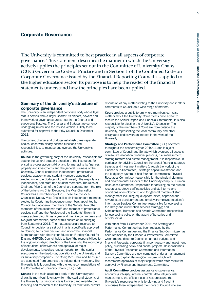#### **Corporate Governance**

The University is committed to best practice in all aspects of corporate governance. This statement describes the manner in which the University actively applies the principles set out in the Committee of University Chairs (CUC) Governance Code of Practice and in Section 1 of the Combined Code on Corporate Governance issued by the Financial Reporting Council, as applied to the higher education sector.Its purpose is to help the reader of the financial statements understand how the principles have been applied.

#### **Summary of the University's structure of corporate governance**

The University is an independent corporate body whose legal status derives from a Royal Charter. Its objects, powers and framework of governance are set out in the Charter and supporting Statutes. The Charter and Statutes are currently undergoing review and the revised version is likely to be submitted for approval to the Privy Council in December 2011.

The current Charter and Statutes establish three separate bodies, each with clearly defined functions and responsibilities, to manage and oversee the University's activities:

**Council** is the governing body of the University, responsible for setting the general strategic direction of the institution, for ensuring proper accountability, and for managing its finances, property and investments and the general business of the University. Council comprises independent, professional services, academic and student members appointed or elected under the Statutes of the University. The majority are independent, non-staff, non-student members. The roles of Chair and Vice-Chair of the Council are separate from the role of the University's Chief Executive, the Vice-Chancellor. Council has a membership of 25. These are the Vice-Chancellor, Deputy Vice-Chancellor; six independent members elected by Court; nine independent members appointed by Council; four academic members of the Senate; two other members of the academic staff; one member of professional services staff and the President of the Students' Union. It meets at least four times a year and has five committees and two joint committees, some of this substructure changing from September 2011. The matters specially reserved to Council for decision are set out in a list specifically approved by Council; by its own decision and under the Financial Memorandum with the Higher Education Funding Council for England (HEFCE), Council holds to itself the responsibilities for the ongoing strategic direction of the University, the monitoring of institutional effectiveness and approval of major developments. It receives regular reports from the senior executives on the day-to-day operations of the University and its subsidiary companies. The Chair, Vice-Chair and Treasurer are appointed from amongst the independent members. The University is fully compliant with the key recommendations of the Committee of University Chairs (CUC) code.

**Senate** is the main academic body of the University and draws its membership entirely from the staff and students of the University. Its principal role is to direct and regulate the teaching and research of the University. Its remit also permits discussion of any matter relating to the University and it offers comments to Council on a wide range of matters.

**Court** provides a public forum where members can raise matters about the University. Court meets once a year to receive the Annual Report and Financial Statements. It is also responsible for electing the University's Chancellor. The majority of the members of Court are from outside the University, representing the local community and other designated bodies with an interest in the work of the University.

**Strategy and Performance Committee** (SPC) operated throughout the academic year 2010/11 and is a joint committee of Council and Senate which oversees all aspects of resource allocation, financial planning, risk management, staffing matters and estate management. It is responsible, in particular, for advising Council on the overall financial strategy, treasury and investment matters (through the work of the Finance Sub-Committee), strategic capital investment, and the budgetary system. It had four sub-committees: Physical Resources Committee (responsible for the physical planning and environmental aspects of the University campus), Human Resources Committee (responsible for advising on the human resources strategy, staffing policies and staff terms and conditions of employment, and for general matters of staff management including equal opportunities, appraisal and reward, staff development and employer/employee relations); Information Services Committee (responsible for overseeing the library and information services strategy); and Scholarships, Bursaries and Awards Committee (responsible for overseeing policy on the award of bursaries and scholarships).

With effect from 1 September 2011 the Strategy and Performance Committee has been replaced by the Performance Committee and the Finance Sub-Committee has been replaced by the Finance & Investments Committee which reports direct to Council on annual budgets and financial forecasts, corporate finance, treasury and investment policy, purchasing policy and capital projects. Responsibilities of the Physical Resources Committee and Information Systems Committee are now combined under a management committee, Capital Planning Committee, which will recommend approvals of major capital works after review for approval by Finance and Investments Committee.

**Audit Committee** provides assurance on governance, accounting integrity, internal controls, data integrity, risk management, the efficient use of resources and the University's responses to whistle-blowing and fraud. It comprises three independent members of Council who are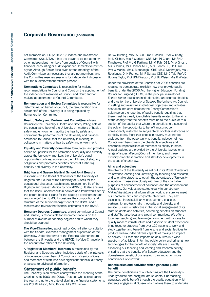#### **Corporate Governance (continued)**

not members of SPC (2010/11)/Finance and Investment Committee (2011/12). It has the power to co-opt up to two other independent members from outside of Council with financial, accounting or audit experience. It meets four times a year. Although Senior Executives attend meetings of the Audit Committee as necessary, they are not members, and the Committee reserves sessions for independent discussion with the auditors without officers present.

**Nominations Committee** is responsible for making recommendations to Council and Court on the appointment of the independent members of Council and Court and for making appointments to Council Committees.

**Remuneration and Review Committee** is responsible for determining, on behalf of Council, the remuneration of all senior staff of the University. It is being replaced by Remuneration Committee.

**Health, Safety and Environment Committee** advises Council on the University's Health and Safety Policy; acts as the consultative body of the University on matters of health, safety and environment; audits the health, safety and environmental performance of the University and provides assurance to Council that the University is meeting its obligations in matters of health, safety and environment.

**Equality and Diversity Committee** formulates, and provides advice on, policies for the promotion of equality and diversity across the University; monitors the University's equal opportunities policies; advises on the fulfilment of statutory obligations and promotes activities aimed at furthering equality and diversity in the University.

**Brighton and Sussex Medical School Joint Board** is responsible to the Board of Governors of the University of Brighton and Council of the University of Sussex for the educational character, teaching and research profile of the Brighton and Sussex Medical School (BSMS). It also ensures that the BSMS operates within policies and frameworks set by the parent bodies; it plans for the strategic development and resourcing of the BSMS; it considers the composition and structure of the senior management of the BSMS and it receives and reviews the financial estimates of the BSMS.

**Honorary Degrees Committee**, a joint committee of Council and Senate, is responsible for recommendations on the number of awards of honorary degrees and to whom they should be awarded.

**The Vice-Chancellor**, appointed by Council after consultation with the Senate, exercises management supervision of the University. Under the terms of the Financial Memorandum between the University and the HEFCE, the Vice-Chancellor is the accountable officer of the University.

A **Register of Members' Interests** is maintained by the Registrar and Secretary which includes details of the interests of independent members of Council, and of senior officers and members of staff who have significant financial authority or access to privileged information.

#### **Statement of public benefit**

The University is an exempt charity within the meaning of the Charities Acts 1993 and 2006. Trustees who served during the year and up to the date of signing the financial statements are Prof RJ Allison, Mr C Brodie, Mrs CC Brooke,

Dr SW Bunting, Mrs PA Burr, Prof J Cassell, Dr AEW Chitty, Mr D Cichon, Mrs F Clarkson CBE, Mrs PJ Coare, Mr SHD Fanshawe, Prof M J G Farthing, Mr M Fuhr OBE, Mr A Ghosh, Ms S James, Mr E Jenner MBE, Mr G Jones DL, Dr J Law, Prof C Marlin, Mrs S Mbubaegbu CBE, Ms S Nebhrajani, Ms L Rodrigues, Dr H Prance, Mr P Saraga CBE, Mr C Tait, Prof JC Bourne Taylor, Prof JDM Watson, Prof BL Weiss, Mrs B Winter.

Under the provisions of the Charities Act 2006 charities are required to demonstrate explicitly how they provide public benefit. Under the 2006 Act, the Higher Education Funding Council for England (HEFCE) is the principal regulator of English higher education institutions that are exempt charities and thus for the University of Sussex. The University's Council, in setting and reviewing institutional objectives and activities, has taken into consideration the Charity Commission's guidance on the reporting of public benefit requiring: that there must be clearly identifiable benefits related to the aims of the charity; that the benefits must be to the public or to a section of the public; that where the benefit is to a section of the public, the opportunity to benefit must not be unreasonably restricted by geographical or other restrictions or by ability to pay fees; that people in poverty must not be excluded from the opportunity to benefit. Induction of new Council members covers the charitable objectives and charitable responsibilities of members as charity trustees. Annual updates are provided by the University lawyers on a range of issues affecting Council members, and these explicitly cover best practice and statutory developments in the areas of charity law.

#### **Aims and objectives**

The objects of the University as set out in its Royal Charter are 'to advance learning and knowledge by teaching and research, and to enable students to obtain the advantages of University education'. These align closely with two of the charitable purposes of advancement of education and the advancement of science. Our values are stated clearly in our strategy *Making the future* and inform all our work to ensure we meet our charitable aims and corporate objectives. They are: excellence, interdisciplinarity, engagement, challenge, partnership, professionalism, equality and diversity and service. Sussex is distinctive in the social engagement of its staff, students and activities, conferring benefits on students and staff but also local and global communities. We offer a top-class teaching and learning environment with access to quality modern infrastructure and a diverse student experience bring together students from over 120 nations to work and study together and benefit from leisure and social facilities to produce well-rounded citizens capable of making an impact on society. Our research impacts on daily lives in a wide spectrum of activities, informing public policy and bringing new technologies for the benefit of society. We are currently expanding our teaching and learning and research activity, ensuring that the benefits of a Sussex education and the downstream benefit of our research can impact on more beneficiaries of our work.

#### **Beneficiaries and activities which generate public benefit**

The prime beneficiaries of our teaching are the University's undergraduate and postgraduate students. Our teaching generates public benefit through the quality education which students engage in at Sussex which allows them to undertake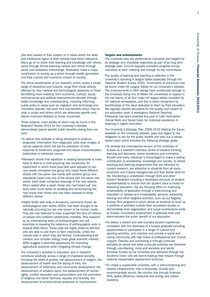jobs and careers in their subject or in areas where the skills and intellectual rigour of their training have direct relevance. Many go on to share their learning and knowledge with others, some through formal teaching careers and others through social and workplace interchange. Graduates make a major contribution to society as a whole through wealth generation and their cultural and economic impact on society.

The prime beneficiaries of our research, which covers a broad range of disciplines and outputs, range from those directly affected by new medical and technological advances to those benefitting more indirectly from economic, cultural, social, environmental and political improvements secured through better knowledge and understanding, including informing public policy in areas such as migration and technology and innovation policies. Our work thus has benefits which may be wide in scope and others which are extremely specific and deliver improved lifestyles to those concerned.

Three projects, more details of which may be found in the Research Review 2011 on the University's website, demonstrate typical specific public benefits arising from our work:

- •A radical new software is being developed to produce prognostic information from diagnostic body scan images of cancer patients which will aid the prediction of early response to treatment, prognosis and tissue characterisation particularly in colorectal cancer.
- •Research shows that repetition in reading storybooks is more likely to lead to a child acquiring new vocabulary. An experiment in which three-year-olds were exposed to two new words compared one group who heard three different stories with the same new words with another group who repeatedly heard only one of the stories with the same new words. Each book contained drawings of the new objects. When tested after a week, those who had heard just one story were much better at recalling and remembering the new words than those who had been exposed to three different stories.
- •Highly fertile dark soils in Amazonia, commonly known as anthropogenic dark earths (ADEs) had been thought to be naturally occurring but are now known to be human made. They are now believed to have supported the tens of millions of people who suffered catastrophic mortality. New research by an international team of anthropologists and soil scientists is revealing the existence of anthropogenic soils in tropical West Africa. These soils are highly prized by farmers who are able to use them to farm intensively, unlike the natural soils in which they are formed. Understanding their creation and complex biology holds great scientific interest: ADEs suggest a potential opportunity for improving agricultural practices while mitigating climate change.

The University's activities in education and in research contribute positively across a range of charitable benefits, including the relief of poverty, the advancement of religion, the advancement of health and the saving of lives, the advancement of citizenship and community development, the advancement of amateur sport, the advancement of human rights, conflict resolution and reconciliation and the promotion of religious and racial harmony, equality and diversity, the advancement of environmental protection or improvement.

#### **Targets and achievements**

The University sets key performance indicators and targets for its strategic and charitable objectives as part of its long term strategic plan. Council regularly considers progress across indicators at each meeting and through its key committees.

The quality of learning and teaching is reflected in the University's standing in league tables especially through the National Student Survey (NSS). Summaries of outcomes may be found under HE League Tables on our University's website. The improvements in NSS ratings have contributed strongly to the University being one of fifteen UK universities to appear in the top twenty of all four major UK league tables compiled by UK national newspapers, and this is direct recognition by beneficiaries of the value delivered to them by their education. We regularly receive accolades for the quality and impact of our education work. A prestigious National Teaching Fellowship has been awarded this year to Cath Holmström (Social Work and Social Care) for individual excellence in teaching in higher education.

The University's Strategic Plan 2009-2015 *Making the future*, available on the University website, pays due regard to the obligation to act for the public benefit and sets out a valuesbased vision which includes the following strategic goals:

- •To develop the international renown of the University of Sussex as a research-intensive centre of creative thinking, learning and discovery, where excellence and innovation flourish and every individual is encouraged to make a lasting contribution to scholarship, knowledge and society. To deliver teaching and learning programmes that are informed by current research, are attractive to students from all socioeconomic and cultural backgrounds and that deliver skills for life. Monitoring is undertaken through NSS and other student feedback including a developed structure of student representatives to ensure that the student voice is heard on delivering education. We are focusing effort on improving employability of graduates through a restructuring and relocation of careers and employability services, leadership training and other targeted activities, such as our flagship Sussex Plus programme which allows all students to build up a portfolio of activities outside their accredited studies to demonstrate their organisation and social contributions while at Sussex. Successful employment in graduate level jobs demonstrates the public benefit of our education.
- •To deliver a vibrant and well-rounded student experience consistent with the attributes of a Sussex graduate including opportunities to participate in a range of cultural and sporting activities, and maintain and provide a social and caring community with high levels of professional and mutual support. Delivery and monitoring is through curricular activities as above and extra-curricular activities are delivered through volunteering, clubs and societies and sports activities funded by the University and delivered through the Students Union who are benchmarking their impact through national independent assessment schemes.
- •To create a sustainable university, with a well-functioning and reliable infrastructure, that is financially, socially and environmentally sound. We monitor this through financial KPIs, space efficiency measures and energy and carbon statistics.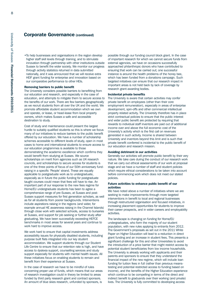# **Corporate Governance (continued)**

•To help businesses and organisations in the region develop higher staff skill levels through training, and to stimulate innovation through partnership with other institutions outside Sussex to benefit the wider society. We monitor our progress through activity statistics returned in data submitted nationally, and it was announced that we will receive extra HEIF grant funding for enterprise and innovation based on our comparative performance to other HEIs.

#### **Removing barriers to public benefit**

The University considers possible barriers to benefitting from our education and research, and especially in the case of education, and attempts to mitigate them to secure access to the benefits of our work. There are few barriers geographically as we recruit students from all over the UK and the world. We promote affordable student accommodation which we own and operate, or lease, or head-lease from local property owners, which makes Sussex a safe and accessible destination to study.

Cost of study and maintenance could present the largest hurdle to suitably qualified students so this is where we focus many of our initiatives to reduce barriers to the public benefit offered by our education. We have a number of scholarship schemes accessible to different levels of study, open in most cases to home and international students to ensure access to our education programmes is available to those demonstrating the academic excellence which confirms they would benefit from studying at Sussex. We source scholarships on merit from agencies such as UK research councils, and scholarships to secure access for students is one of the three points of focus of our 50th anniversary fundraising in a specific 'People' strand. These are equally applicable to postgraduate work as to undergraduate, especially as in future the public funding for postgraduate taught courses could mean that fees will have to rise. An important part of our response to the new fees regime for Home/EU undergraduate students has been to agree a comprehensive range of pre-Sussex, at Sussex and post-Sussex support measures for first generation scholars, as well as for all students from poorer backgrounds. Interventions include aspirations raising in the regions (and wider, for example annual HE awareness raising in the Channel Islands) through close work with selected schools, access to bursaries at Sussex, and support for job seeking or further study after graduating. We have been successfully exceeding HEFCE benchmarks in most areas for several years and continue to work hard to improve access.

We work hard to ensure that capital investments address accessibility issues for physically disabled students, including purpose built flats integrated into our key student accommodation. We support students through our Student Life Centre to ensure that our retention rate is high, and have access to dyslexia support, counselling services and study support especially for students with mental health issues. All these initiatives focus on enabling students to remain and benefit from their experience at Sussex.

In the case of research we have to be mindful of rules concerning proper use of funds, which means that our areas of research investigation could in theory be limited to areas funded by third party research grant and contract sponsors. An amount of blue skies research, unfunded by sponsors, is

possible through our funding council block grant. In the case of important research for which we cannot secure funds from external agencies, we have on occasions successfully approached philanthropic donors who have contributed to ensuring that work can be carried out; one successful instance is around the health problems of the honey bee, which has been funded from a donations campaign. Such targeted initiatives can ensure that our research impact in important areas is not held back by lack of coverage by research grant-awarding bodies.

#### **Incidental private benefits**

The University is aware that certain activities may confer private benefit on employees (other than their core employment remuneration), especially in areas of enterprise development, spin-offs and other commercial intellectual property related activity. The University therefore has in place strict contractual policies to ensure that the public interest and wider public benefit are protected by requiring that rewards to individual staff inventors are paid out of additional income over and above the full economic cost of the University's activity which is the first call on revenues generated in such activity. Income is shared between University and inventors beyond this limit and is such that private benefit conferred is incidental to the public benefit of our education and research mission.

#### **Avoiding detriment in our activities**

Generally our activities will promote public benefit by their very nature. We take care during the conduct of our research work that we carry out ethical assessments of our work at proposal stage and we have a number of staff and student policies which require ethical considerations to be taken into account before commencing work which does not meet our stated policies.

#### **Future activities to enhance public benefit of our activities**

We have noted above a number of initiatives where we are seeking to make improvements through more targeted interventions in benefit to local and regional businesses through restructured organisation and focused initiatives, in increasing placement opportunities for students to improve their career prospects, and in wider careers and employability activities.

The landscape is changing on funding for Home/EU undergraduates, who form the majority of our student population, with new rules applying to entrants from 2012. The Government's proposals as set out in the 2011 White Paper on Higher Education will lead to a reduction in direct grant funding and an increase in student fees. This presents a significant challenge for this and other Universities to avoid the introduction of a price barrier that might restrict access by potential student beneficiaries from low income households. The University is already working with applicants and their parents and sponsors to ensure that they understand the financial impact of the new regime, which will include loan funding for tuition fees in full (rather than previous meanstesting and potential restricted access to funding based on income), and the benefits of the Higher Education experience which continue to be compelling in terms of the direct and indirect benefit to graduands over their working (and private) lives. The University is fully committed to developing access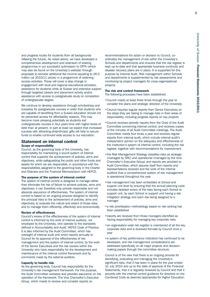and progress routes for students from all backgrounds (Making the future). As noted above, we have developed a comprehensive development and extension of existing programmes in our successful submission to OFFA (which may also be found on the University's website) through proposals to reinvest additional fee income equating to £6.5 million (at 2010/11 prices) in a programme of widening access activities. These will cover a step change in engagement with local and regional educational providers, assistance for students while at Sussex and extensive support through targeted careers and placement activity and/or assistance with access to postgraduate study on completion of undergraduate degree.

We continue to develop assistance through scholarships and bursaries for postgraduate courses in order that students who are capable of benefiting from a Sussex education should not be prevented access for affordability reasons. This may become more pressing potentially as students exit undergraduate courses in four years time with higher levels of debt than at present. In part at least we expect that increased success with attracting philanthropic gifts will help to secure funds to enable continued wide access to our education.

#### **Statement on internal control Scope of responsibility**

Council, as the governing body of the University, has responsibility for maintaining a sound system of internal control that supports the achievement of policies, aims and objectives, while safeguarding the public and other funds and assets for which we are responsible, in accordance with the responsibilities assigned to the governing body in the Charter and Statutes and the Financial Memorandum with HEFCE.

#### **The purpose of the system of internal control**

The system of internal control is designed to manage rather than eliminate the risk of failure to achieve policies, aims and objectives; it can therefore only provide reasonable and not absolute assurance of effectiveness. The system of internal control is based on an ongoing process designed to identify the principal risks to the achievement of policies, aims and objectives; to evaluate the nature and extent of those risks; and to manage them efficiently, effectively and economically.

#### **Review of effectiveness**

Council's review of the effectiveness of the system of internal control is informed by the work of internal auditors, not employed by the University, who operate to the standards defined in Accountability and Audit: HEFCE Code of Practice. It is also informed by the Audit Committee, which has oversight of internal audit and which reports annually to Council for its approval of the effectiveness of risk management and the system of internal control; by the work of the Senior Executives and the risk owners within the University who have responsibility for the development and maintenance of the internal control framework and by comments made by the external auditors.

#### **Capacity to handle risk**

As the governing body, Council has responsibility for the University's risk management framework. For this purpose, the Audit Committee oversees and provides assurance on the operation of the framework. The Vice Chancellor's Executive Group, which meets to receive and consider reports on

recommendations for action or decision to Council, coordinates the management of risk within the University's Schools and departments and ensures that the risk register is kept up-to-date and that appropriate business continuity and disaster recovery plans are in place. It is supported for this purpose by Internal Audit. Risk management within Schools and departments is supplemented by risk assessments and monitoring by project managers for cross-organisational projects.

#### **The risk and control framework**

The following processes have been established:

- •Council meets at least three times through the year to consider the plans and strategic direction of the University
- •Council requires regular reports from Senior Executives on the steps they are taking to manage risks in their areas of responsibility, including progress reports on key projects
- •Council receives periodic reports from the Chair of the Audit Committee concerning internal control, and receives copies of the minutes of all Audit Committee meetings. The Audit Committee meets four times a year and receives regular reports from internal audit, which include internal audit's independent opinion on the adequacy and effectiveness of the institution's system of internal control, including the risk register, together with recommendations for improvement
- •the Risk Management Strategy classifies risks as strategic (managed by SRC) and operational (managed by the Vice-Chancellor's Executive Group) and reports are provided to Audit Committee, which assures itself from reports and representations received and the work of the internal auditors that a comprehensive system of risk management is operational throughout the year
- •risk management has been embedded at School and support unit level by ensuring that the annual planning cycle includes detailed review of the risks facing each School or support unit, by each School or support unit having a risk mitigation strategy and each risk being assigned to a manager
- •a risk prioritisation methodology based on risk ranking has been established
- •reports are received from those managers identified as having responsibility for managing key corporate risks
- an organisation-wide risk register is maintained of all the key corporate risks and is reviewed formally by Council once a year
- •a system of key performance indicators has continued to be developed, and risk management considerations are addressed specifically on all major projects and decisionmaking papers through the committee structure.

Council is of the view that there is an ongoing process for identifying, evaluating and managing the University's significant risks, that it has been in place for the year ended 31 July 2010 and up to the date of approval of the Financial Statements, that it is regularly reviewed by Council and that it accords with the internal control guidance for directors on the Combined Code as deemed appropriate for Higher Education.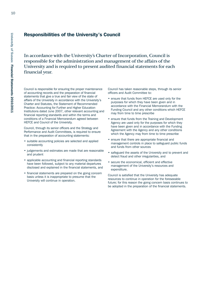# **University** <u>ዒ</u> **Sussex**

**Financial**

**State m ents**

# **Responsibilities of the University's Council**

In accordance with the University's Charter of Incorporation, Council is responsible for the administration and management of the affairs of the University and is required to present audited financial statements for each financial year.

Council is responsible for ensuring the proper maintenance of accounting records and the preparation of financial statements that give a true and fair view of the state of affairs of the University in accordance with the University's Charter and Statutes, the Statement of Recommended Practice: Accounting for Further and Higher Education Institutions dated June 2007, other relevant accounting and financial reporting standards and within the terms and conditions of a Financial Memorandum agreed between HEFCE and Council of the University.

Council, through its senior officers and the Strategy and Performance and Audit Committees, is required to ensure that in the preparation of accounting statements:

- suitable accounting policies are selected and applied consistently
- judgements and estimates are made that are reasonable and prudent
- applicable accounting and financial reporting standards have been followed, subject to any material departures disclosed and explained in the financial statements, and
- financial statements are prepared on the going concern basis unless it is inappropriate to presume that the University will continue in operation.

Council has taken reasonable steps, through its senior officers and Audit Committee to:

- ensure that funds from HEFCE are used only for the purposes for which they have been given and in accordance with the Financial Memorandum with the Funding Council and any other conditions which HEFCE may from time to time prescribe
- ensure that funds from the Training and Development Agency are used only for the purposes for which they have been given and in accordance with the Funding Agreement with the Agency and any other conditions which the Agency may from time to time prescribe
- ensure that there are appropriate financial and management controls in place to safeguard public funds and funds from other sources
- safeguard the assets of the University and to prevent and detect fraud and other irregularities, and
- secure the economical, efficient and effective management of the University's resources and expenditure.

Council is satisfied that the University has adequate resources to continue in operation for the foreseeable future; for this reason the going concern basis continues to be adopted in the preparation of the financial statements.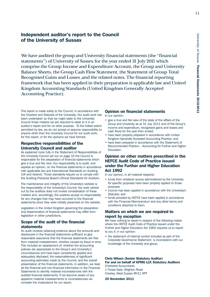# **Independent auditor's report to the Council of the University of Sussex**

We have audited the group and University financial statements (the ''financial statements'') of University of Sussex for the year ended 31 July 2011 which comprise the Group Income and Expenditure Account, the Group and University Balance Sheets, the Group Cash Flow Statement, the Statement of Group Total Recognised Gains and Losses ,and the related notes. The financial reporting framework that has been applied in their preparation is applicable law and United Kingdom Accounting Standards (United Kingdom Generally Accepted Accounting Practice).

This report is made solely to the Council, in accordance with the Charters and Statutes of the University. Our audit work has been undertaken so that we might state to the University Council those matters we are required to state to it in an auditor's report and for no other purpose. To the fullest extent permitted by law, we do not accept or assume responsibility to anyone other than the University Council for our audit work, for this report, or for the opinions we have formed.

# **Respective responsibilities of the University Council and auditor**

As explained more fully in the Statement of Responsibilities of the University Council set out on page 10 the Council is responsible for the preparation of financial statements which give a true and fair view. Our responsibility is to audit, and express an opinion, on the financial statements in accordance with applicable law and International Standards on Auditing (UK and Ireland). Those standards require us to comply with the Auditing Practices Board's Ethical Standards for Auditors.

The maintenance and integrity of the University's website is the responsibility of the University's Council; the work carried out by the auditors does not involve consideration of these matters and, accordingly, the auditors accept no responsibility for any changes that may have occurred to the financial statements since they were initially presented on the website.

Legislation in the United Kingdom governing the preparation and dissemination of financial statements may differ from legislation in other jurisdictions.

# **Scope of the audit of the financial statements**

An audit involves obtaining evidence about the amounts and disclosures in the financial statements sufficient to give reasonable assurance that the financial statements are free from material misstatement, whether caused by fraud or error. This includes an assessment of: whether the accounting policies are appropriate to the Group's and University's circumstances and have been consistently applied and adequately disclosed; the reasonableness of significant accounting estimates made by the Council; and the overall presentation of the financial statements. In addition, we read all the financial and non-financial information in the Financial Statements to identify material inconsistencies with the audited financial statements. If we become aware of any apparent material misstatements or inconsistencies we consider the implications for our report.

# **Opinion on financial statements**

In our opinion:

- give a true and fair view of the state of the affairs of the Group and University as at 31 July 2011 and of the Group's income and expenditure, recognised gains and losses and cash flows for the year then ended;
- have been properly prepared in accordance with United Kingdom Generally Accepted Accounting Practice; and
- have been prepared in accordance with the Statement of Recommended Practice – Accounting for Further and Higher Education.

# **Opinion on other matters prescribed in the HEFCE Audit Code of Practice issued under the Further and Higher Education Act 1992**

In our opinion, in all material respects:

- funds from whatever source administered by the University for specific purposes have been properly applied to those purposes
- income has been applied in accordance with the University's Statutes; and
- funds provided by HEFCE have been applied in accordance with the Financial Memorandum and any other terms and conditions attached to them.

# **Matters on which we are required to report by exception**

We have nothing to report in respect of the following matter where the HEFCE Audit Code of Practice issued under the Further and Higher Education Act 1992 requires us to report to you if, in our opinion:

• the statement of internal control included as part of the Corporate Governance Statement is inconsistent with our knowledge of the University and group.

#### **Chris Wilson (Senior Statutory Auditor) For and on behalf of KPMG LLP, Statutory Auditors** Chartered Accountants 1 Forest Gate, Brighton Road

Crawley, West Sussex RH11 9PT

**25 November 2011**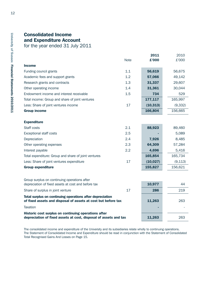# **Consolidated Income and Expenditure Account**

for the year ended 31 July 2011

|                                                                                                                            |             | 2011      | 2010     |
|----------------------------------------------------------------------------------------------------------------------------|-------------|-----------|----------|
|                                                                                                                            | <b>Note</b> | £'000     | £'000    |
| <b>Income</b>                                                                                                              |             |           |          |
| Funding council grants                                                                                                     | 1.1         | 56,619    | 56,675   |
| Academic fees and support grants                                                                                           | 1.2         | 57,066    | 49,142   |
| Research grants and contracts                                                                                              | 1.3         | 31,337    | 29,607   |
| Other operating income                                                                                                     | 1.4         | 31,361    | 30,044   |
| Endowment income and interest receivable                                                                                   | 1.5         | 734       | 529      |
| Total income: Group and share of joint ventures                                                                            |             | 177,117   | 165,997  |
| Less: Share of joint ventures income                                                                                       | 17          | (10, 313) | (9, 332) |
| <b>Group income</b>                                                                                                        |             | 166,804   | 156,665  |
|                                                                                                                            |             |           |          |
| <b>Expenditure</b>                                                                                                         |             |           |          |
| Staff costs                                                                                                                | 2.1         | 88,923    | 89,460   |
| <b>Exceptional staff costs</b>                                                                                             | 2.5         |           | 5,089    |
| Depreciation                                                                                                               | 2.4         | 7,926     | 8,485    |
| Other operating expenses                                                                                                   | 2.3         | 64,309    | 57,284   |
| Interest payable                                                                                                           | 2.2         | 4,696     | 5,416    |
| Total expenditure: Group and share of joint ventures                                                                       |             | 165,854   | 165,734  |
| Less: Share of joint ventures expenditure                                                                                  | 17          | (10, 027) | (9, 113) |
| <b>Group expenditure</b>                                                                                                   |             | 155,827   | 156,621  |
|                                                                                                                            |             |           |          |
| Group surplus on continuing operations after                                                                               |             |           |          |
| depreciation of fixed assets at cost and before tax                                                                        |             | 10,977    | 44       |
| Share of surplus in joint venture                                                                                          | 17          | 286       | 219      |
| Total surplus on continuing operations after depreciation<br>of fixed assets and disposal of assets at cost but before tax |             | 11,263    | 263      |
| <b>Taxation</b>                                                                                                            |             |           |          |
| Historic cost surplus on continuing operations after<br>depreciation of fixed assets at cost, disposal of assets and tax   |             | 11,263    | 263      |

The consolidated income and expenditure of the University and its subsidiaries relate wholly to continuing operations. The Statement of Consolidated Income and Expenditure should be read in conjunction with the Statement of Consolidated Total Recognised Gains And Losses on Page 15.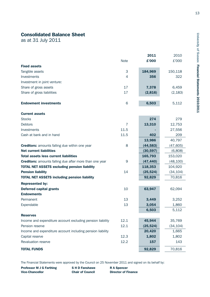# **Consolidated Balance Sheet**

as at 31 July 2011

|                                                                |                | 2011      | 2010      |
|----------------------------------------------------------------|----------------|-----------|-----------|
|                                                                | <b>Note</b>    | £'000     | £'000     |
| <b>Fixed assets</b>                                            |                |           |           |
| Tangible assets                                                | 3              | 184,969   | 150,118   |
| Investments                                                    | $\overline{4}$ | 356       | 322       |
| Investment in joint venture:                                   |                |           |           |
| Share of gross assets                                          | 17             | 7,378     | 6,459     |
| Share of gross liabilities                                     | 17             | (2,816)   | (2, 183)  |
|                                                                |                |           |           |
| <b>Endowment investments</b>                                   | 6              | 6,503     | 5,112     |
| <b>Current assets</b>                                          |                |           |           |
| <b>Stocks</b>                                                  |                | 274       | 279       |
| <b>Debtors</b>                                                 | 7              | 13,310    | 12,753    |
| Investments                                                    | 11.5           |           | 27,556    |
| Cash at bank and in hand                                       | 11.5           | 402       | 209       |
|                                                                |                | 13,986    | 40,797    |
| <b>Creditors:</b> amounts falling due within one year          | 8              | (44, 583) | (47, 605) |
| <b>Net current liabilities</b>                                 |                | (30, 597) | (6,808)   |
| <b>Total assets less current liabilities</b>                   |                | 165,793   | 153,020   |
| <b>Creditors:</b> amounts falling due after more than one year | 9              | (47, 440) | (48, 100) |
| <b>TOTAL NET ASSETS excluding pension liability</b>            |                | 118,353   | 104,920   |
| <b>Pension liability</b>                                       | 14             | (25, 524) | (34, 104) |
| <b>TOTAL NET ASSETS including pension liability</b>            |                | 92,829    | 70,816    |
| <b>Represented by:</b>                                         |                |           |           |
| <b>Deferred capital grants</b>                                 | 10             | 63,947    | 62,094    |
| <b>Endowments</b>                                              |                |           |           |
| Permanent                                                      | 13             | 3,449     | 3,252     |
| Expendable                                                     | 13             | 3,054     | 1,860     |
|                                                                |                | 6,503     | 5,112     |
| <b>Reserves</b>                                                |                |           |           |
| Income and expenditure account excluding pension liability     | 12.1           | 45,944    | 35,769    |
| Pension reserve                                                | 12.1           | (25, 524) | (34, 104) |
| Income and expenditure account including pension liability     |                | 20,420    | 1,665     |
| Capital reserve                                                | 12.3           | 1,802     | 1,802     |
| Revaluation reserve                                            | 12.2           | 157       | 143       |
| <b>TOTAL FUNDS</b>                                             |                | 92,829    | 70,816    |

The Financial Statements were approved by the Council on 25 November 2011 and signed on its behalf by:

**Professor M J G Farthing S H D Fanshawe R A Spencer Vice-Chancellor Chair of Council Director of Finance**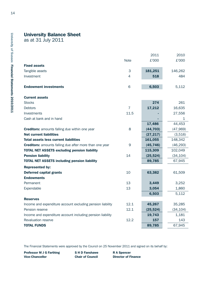# **University Balance Sheet**

as at 31 July 2011

|                                                                |                | 2011      | 2010      |
|----------------------------------------------------------------|----------------|-----------|-----------|
|                                                                | <b>Note</b>    | £'000     | £'000     |
| <b>Fixed assets</b>                                            |                |           |           |
| Tangible assets                                                | 3              | 181,251   | 146,262   |
| Investment                                                     | 4              | 518       | 484       |
| <b>Endowment investments</b>                                   | 6              | 6,503     | 5,112     |
| <b>Current assets</b>                                          |                |           |           |
| <b>Stocks</b>                                                  |                | 274       | 261       |
| <b>Debtors</b>                                                 | $\overline{7}$ | 17,212    | 16,635    |
| Investments                                                    | 11.5           |           | 27,556    |
| Cash at bank and in hand                                       |                |           | 1         |
|                                                                |                | 17,486    | 44,453    |
| <b>Creditors:</b> amounts falling due within one year          | 8              | (44, 703) | (47,969)  |
| <b>Net current liabilities</b>                                 |                | (27, 217) | (3,516)   |
| <b>Total assets less current liabilities</b>                   |                | 161,055   | 148,342   |
| <b>Creditors:</b> amounts falling due after more than one year | 9              | (45, 746) | (46, 293) |
| <b>TOTAL NET ASSETS excluding pension liability</b>            |                | 115,309   | 102,049   |
| <b>Pension liability</b>                                       | 14             | (25, 524) | (34, 104) |
| <b>TOTAL NET ASSETS including pension liability</b>            |                | 89,785    | 67,945    |
| <b>Represented by:</b>                                         |                |           |           |
| <b>Deferred capital grants</b>                                 | 10             | 63,382    | 61,509    |
| <b>Endowments</b>                                              |                |           |           |
| Permanent                                                      | 13             | 3,449     | 3,252     |
| Expendable                                                     | 13             | 3,054     | 1,860     |
|                                                                |                | 6,503     | 5,112     |
| <b>Reserves</b>                                                |                |           |           |
| Income and expenditure account excluding pension liability     | 12.1           | 45,267    | 35,285    |
| Pension reserve                                                | 12.1           | (25, 524) | (34, 104) |
| Income and expenditure account including pension liability     |                | 19,743    | 1,181     |
| <b>Revaluation reserve</b>                                     | 12.2           | 157       | 143       |
| <b>TOTAL FUNDS</b>                                             |                | 89,785    | 67,945    |

The Financial Statements were approved by the Council on 25 November 2011 and signed on its behalf by:

**Professor M J G Farthing S H D Fanshawe R A Spencer Vice-Chancellor Chair of Council Director of Finance**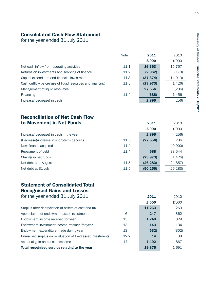# **Consolidated Cash Flow Statement**

for the year ended 31 July 2011

|                                                           | <b>Note</b> | 2011<br>£'000 | 2010<br>£'000 |
|-----------------------------------------------------------|-------------|---------------|---------------|
| Net cash inflow from operating activities                 | 11.1        | 16,363        | 15,757        |
| Returns on investments and servicing of finance           | 11.2        | (2,962)       | (3, 170)      |
| Capital expenditure and financial investment              | 11.3        | (37, 374)     | (14, 013)     |
| Cash outflow before use of liquid resources and financing | 11.5        | (23, 973)     | (1,426)       |
| Management of liquid resources                            |             | 27,556        | (286)         |
| Financing                                                 | 11.4        | (688)         | 1,456         |
| Increase/(decrease) in cash                               |             | 2,895         | (256)         |

# **Reconciliation of Net Cash Flow to Movement in Net Funds 2011** 2010

|                                            |      | £'000     | £'000     |
|--------------------------------------------|------|-----------|-----------|
| Increase/(decrease) in cash in the year    |      | 2,895     | (256)     |
| (Decrease)/increase in short-term deposits | 11.5 | (27, 556) | 286       |
| New finance acquired                       | 11.4 |           | (40,000)  |
| Repayment of debt                          | 11.4 | 688       | 38,544    |
| Change in net funds                        |      | (23, 973) | (1, 426)  |
| Net debt at 1 August                       | 11.5 | (26, 283) | (24, 857) |
| Net debt at 31 July                        | 11.5 | (50, 256) | (26, 283) |

# **Statement of Consolidated Total Recognised Gains and Losses**

| for the year ended 31 July 2011 | 2011 | 2010 |
|---------------------------------|------|------|
|---------------------------------|------|------|

|                                                              |      | £'000  | £'000 |
|--------------------------------------------------------------|------|--------|-------|
| Surplus after depreciation of assets at cost and tax         |      | 11,263 | 263   |
| Appreciation of endowment asset investments                  | 6    | 247    | 362   |
| Endowment income received for year                           | 13   | 1,248  | 329   |
| Endowment investment income retained for year                | 13   | 143    | 134   |
| Endowment expenditure made during year                       | 13   | (532)  | (302) |
| Unrealised surplus on revaluation of fixed asset investments | 12.2 | 14     | 38    |
| Actuarial gain on pension scheme                             | 14   | 7,492  | 867   |
| Total recognised surplus relating to the year                |      | 19,875 | 1,691 |

15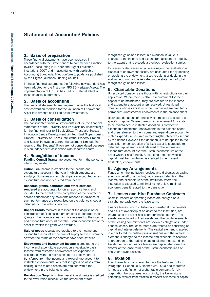# **Statement of Accounting Policies**

#### **1. Basis of preparation**

These financial statements have been prepared in accordance with the Statement of Recommended Practice (SORP): Accounting in Further and Higher Education Institutions 2007 and in accordance with applicable Accounting Standards. They conform to guidance published by the Higher Education Funding Council.

In these financial statements the following new standard has been adopted for the first time: FRS 30 Heritage Assets. The implementation of FRS 30 has had no material effect on these financial statements.

#### **2. Basis of accounting**

The financial statements are prepared under the historical cost convention modified for the valuation of Endowment Asset Investments and Fixed Asset Investments.

#### **3. Basis of consolidation**

The consolidated financial statements include the financial statements of the University and its subsidiary undertakings for the financial year to 31 July 2011. These are Sussex Innovation Centre Development Limited, East Slope Housing Limited, University of Sussex Intellectual Property Limited and Sussex Innovation Centre Management Limited. The results of the Students' Union are not consolidated because it is an independent association with separate control.

#### **4. Recognition of income**

**Funding Council Grants** are accounted for in the period to which they relate.

**Tuition Fee** income is credited to the income and expenditure account in the year in which students are studying. Bursaries and scholarships are accounted for as expenditure and not deducted from income.

**Research grants, contracts and other services rendered** are accounted for on an accruals basis and included to the extent of the completion of the contract or service concerned; any payments received in advance of such performance are recognised on the balance sheet as deferred income within creditors.

**Capital Grants** received in respect of the acquisition or construction of fixed assets are credited to deferred capital grants in the balance sheet and are released to the income and expenditure account over the useful economic life of the asset for which the grant was awarded.

**Sale of goods** receipts are credited to the income and expenditure account at the time of supply to the customers or when the terms of the contract have been satisfied.

**Endowment and investment income** is credited to the income and expenditure account on a receivable basis. Income from restricted endowments not expended in accordance with the restrictions of the endowment, is transferred from the income and expenditure account to restricted endowments. Any realised gains or losses from dealing in the related assets are retained within the endowment in the balance sheet.

**Revaluation Surplus** on fixed asset investments is credited to the revaluation reserve, via the statement of total

recognised gains and losses; a diminution in value is charged to the income and expenditure account as a debit, to the extent that it exceeds a previous revaluation surplus.

Increases or decreases in value arising on the revaluation or disposal of endowment assets, are accounted for by debiting or crediting the endowment asset, crediting or debiting the endowment fund and is reported in the statement of total recognised gains and losses.

#### **5. Charitable Donations**

Unrestricted donations are those with no restrictions on their application. Where there is also no requirement for their capital to be maintained, they are credited to the income and expenditure account when received. Unrestricted donations whose capital must be maintained are credited to permanent (unrestricted) endowments in the balance sheet.

Restricted donations are those which must be applied to a specific purpose. Where there is no requirement for capital to be maintained, a restricted donation is credited to expendable (restricted) endowments in the balance sheet and then released to the income and expenditure account to match expenditure incurred in meeting the objectives set out by the donor. However if the donation is to be applied to the acquisition or construction of a fixed asset it is credited to deferred capital grants and released to the income and expenditure account over the useful economic life of the asset which it has funded. A restricted donation whose capital must be maintained is credited to permanent (restricted) endowments.

#### **6. Agency Arrangements**

Funds which the institution receives and disburses as paying agent on behalf of a funding body, are excluded from the income and expenditure of the institution where the institution is exposed to minimal risk or enjoys minimal economic benefit related to the transaction.

#### **7. Leases and Hire Purchase Contracts**

Costs in respect of operating leases are charged on a straight-line basis over the lease term.

Finance leases, which substantially transfer all the benefits and risks of ownership of an asset to the Institution, are treated as if the asset had been purchased outright. The assets are included in fixed assets and the capital elements of the leasing commitments are shown as obligations under finance leases. The lease rentals are treated as consisting of capital and interest elements. The capital element is applied in order to reduce outstanding obligations and the interest element is charged to the income and expenditure account in proportion to the reducing capital element outstanding. Assets held under finance leases are depreciated over the shorter of the lease term or the useful economic lives of equivalent owned assets.

#### **8. Taxation**

The University is considered to pass the tests set out in Paragraph 1 Schedule 6 Finance Act 2010 and therefore it meets the definition of a charitable company for UK corporation tax purposes. Accordingly, the University is potentially exempt from taxation in respect of income or capital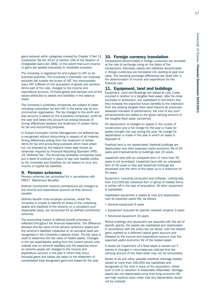gains received within categories covered by Chapter 3 Part 11 Corporation Tax Act 2010 or Section 256 of the Taxation of Chargeable Gains Act 1992, to the extent that such income or gains are applied exclusively to charitable purposes.

The University is registered for and subject to VAT on its business activities. The University's charitable non business activities fall outside the scope of VAT. Any irrecoverable input VAT suffered on the acquisition of goods and services forms part of the cost, charged to the income and expenditure account, of those goods and services and of the values attributed to assets and liabilities in the balance sheet.

The University's subsidiary companies are subject to taxes including corporation tax and VAT in the same way as any commercial organisation. The tax charged to the profit and loss account is based on the subsidiary companies' profit for the year and takes into account tax arising because of timing differences between the treatment of certain items for tax and accounting purposes.

In Sussex Innovation Centre Management Ltd deferred tax is recognised without discounting in respect of all material timing differences arising from the treatment of certain items for tax and accounting purposes which have arisen but not reversed by the balance sheet date except as otherwise required by Financial Reporting Standard (FRS) 19 'Deferred Tax'. The remaining subsidiary companies have put a deed of covenant in place to pay over taxable profits to the University and therefore do not expect to incur any income or capital tax liabilities.

#### **9. Pension schemes**

Pension schemes are accounted for in accordance with FRS17 'Retirement Benefits'.

Defined contribution scheme contributions are charged to the income and expenditure account as they become payable.

Defined benefit multi-employer schemes, where the University is unable to identify its share of the underlying assets and liabilities of the scheme on a consistent and reasonable basis, are accounted for as defined contribution schemes.

The accounting impact of defined benefit schemes is reflected throughout the financial statements. The difference between the fair value of the pension scheme's assets and the scheme's liabilities measured on an actuarial basis are recognised in the University's balance sheet. The bid value is used to determine the fair value of traded assets. Changes in the net asset/liability arising from the current service cost, interest cost on scheme liabilities and the expected return on scheme assets are charged to the income and expenditure account in the year in which they occur. Actuarial gains and losses are taken to the statement of consolidated total recognised gains and losses for the year.

#### **10. Foreign currency translation**

Transactions denominated in foreign currencies are recorded at the rate of exchange ruling on the dates of the transactions. Monetary assets and liabilities denominated in foreign currencies are translated into sterling at year end rates. The resulting exchange differences are dealt with in the determination of income and expenditure for the financial year.

#### **11. Equipment, land and buildings**

Equipment, Land and Buildings are stated at cost. Costs incurred in relation to a tangible fixed asset, after its initial purchase or production, are capitalised to the extent that they increase the expected future benefits to the institution from the existing tangible fixed asset beyond its previously assessed standard of performance; the cost of any such enhancements are added to the gross carrying amount of the tangible fixed asset concerned.

No depreciation is charged on assets in the course of construction and a full charge for the year is made for assets brought into use during the year. No charge for depreciation is made in the year in which an asset is disposed of.

Freehold land is not depreciated; freehold buildings are depreciated over their expected useful economic life of 50 years and Improvements to buildings over 20 years.

Leasehold land with an unexpired term of more than 50 years is not amortised. Leasehold land with an unexpired term of 50 years or less and leasehold buildings are amortised over the term of the lease up to a maximum of 50 years.

Equipment, including computers and software, costing less than £10,000 per individual item or group of related items is written off in the year of acquisition. All other equipment is capitalised.

Capitalised equipment is stated at cost and depreciated over its expected useful life, as follows

- General equipment 5 years
- Equipment acquired for specific research projects 3 years
- Structural equipment 10 years

Where buildings and equipment are acquired with the aid of specific grants, the assets are capitalised and depreciated in accordance with the policy set out above, with the related grant credited to a deferred capital grant account and released to the income and expenditure account over the expected useful economic life of the related asset.

A review for impairment of a fixed asset is carried out if events or changes in circumstances indicate that the carrying amount of the fixed asset may not be recoverable.

Works of art and other valuable artefacts (heritage assets) valued at more than £50,000 are capitalised and recognised at the cost or value of the acquisition, where such a cost or valuation is reasonably obtainable. Heritage assets are not depreciated since their long economic life and high residual value mean that any depreciation would not be material.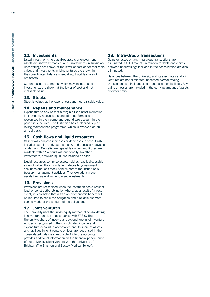#### **12. Investments**

Listed investments held as fixed assets or endowment assets are shown at market value. Investments in subsidiary undertakings are shown at the lower of cost or net realisable value, and investments in joint ventures are shown in the consolidated balance sheet at attributable share of net assets.

Current asset investments, which may include listed investments, are shown at the lower of cost and net realisable value.

#### **13. Stocks**

Stock is valued at the lower of cost and net realisable value.

#### **14. Repairs and maintenance**

Expenditure to ensure that a tangible fixed asset maintains its previously recognised standard of performance is recognised in the income and expenditure account in the period it is incurred. The Institution has a planned 5 year rolling maintenance programme, which is reviewed on an annual basis.

#### **15. Cash flows and liquid resources**

Cash flows comprise increases or decreases in cash. Cash includes cash in hand, cash at bank, and deposits repayable on demand. Deposits are repayable on demand if they are available within 24 hours without penalty. No other investments, however liquid, are included as cash.

Liquid resources comprise assets held as readily disposable store of value. They include term deposits, government securities and loan stock held as part of the Institution's treasury management activities. They exclude any such assets held as endowment asset investments.

#### **16. Provisions**

Provisions are recognised when the institution has a present legal or constructive obligation where, as a result of a past event, it is probable that a transfer of economic benefit will be required to settle the obligation and a reliable estimate can be made of the amount of the obligation.

#### **17. Joint ventures**

The University uses the gross equity method of consolidating joint venture entities in accordance with FRS 9. The University's share of income and expenditure in joint venture entities is recognised in the consolidated income and expenditure account in accordance and its share of assets and liabilities in joint venture entities are recognised in the consolidated balance sheet. Note 17 to the accounts provides additional information on the financial performance of the University's joint venture with the University of Brighton (The Brighton and Sussex Medical School).

#### **18. Intra-Group Transactions**

Gains or losses on any intra-group transactions are eliminated in full. Amounts in relation to debts and claims between undertakings included in the consolidation are also eliminated.

Balances between the University and its associates and joint ventures are not eliminated; unsettled normal trading transactions are included as current assets or liabilities. Any gains or losses are included in the carrying amount of assets of either entity.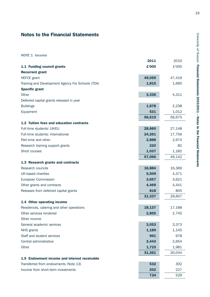# **Notes to the Financial Statements**

**NOTE 1 Income** 

|                                                   | 2011   | 2010   |
|---------------------------------------------------|--------|--------|
| 1.1 Funding council grants                        | £'000  | £'000  |
| <b>Recurrent grant</b>                            |        |        |
| <b>HEFCE</b> grant                                | 49,059 | 47,419 |
| Training and Development Agency For Schools (TDA) | 1,815  | 1,695  |
| <b>Specific grant</b>                             |        |        |
| Other                                             | 3,336  | 4,311  |
| Deferred capital grants released in year          |        |        |
| <b>Buildings</b>                                  | 1,878  | 2,238  |
| Equipment                                         | 531    | 1,012  |
|                                                   | 56,619 | 56,675 |
| 1.2 Tuition fees and education contracts          |        |        |
| Full-time students: UK/EU                         | 28,660 | 27,148 |
| Full-time students: international                 | 24,261 | 17,756 |
| Part-time and other                               | 2,888  | 2,974  |
| Research training support grants                  | 220    | 82     |
| Short courses                                     | 1,037  | 1,182  |
|                                                   | 57,066 | 49,142 |
| 1.3 Research grants and contracts                 |        |        |
| Research councils                                 | 16,884 | 16,369 |
| <b>UK-based charities</b>                         | 5,509  | 4,371  |
| European Commission                               | 3,657  | 3,621  |
| Other grants and contracts                        | 4,469  | 4,441  |
| Releases from deferred capital grants             | 818    | 805    |
|                                                   | 31,337 | 29,607 |
| 1.4 Other operating income                        |        |        |
| Residences, catering and other operations         | 18,137 | 17,168 |
| Other services rendered                           | 2,855  | 2,745  |
| Other income                                      |        |        |
| General academic services                         | 3,053  | 3,373  |
| NHS grants                                        | 1,189  | 1,145  |
| Staff and student services                        | 961    | 978    |
| Central administrative                            | 3,443  | 2,654  |
| Other                                             | 1,723  | 1,981  |
|                                                   | 31,361 | 30,044 |
| 1.5 Endowment income and interest receivable      |        |        |
| Transferred from endowments (Note 13)             | 532    | 302    |
| Income from short-term investments                | 202    | 227    |
|                                                   | 734    | 529    |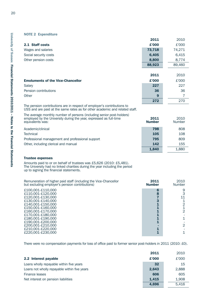#### **NOTE 2 Expenditure**

|                                          | 2011   | 2010   |
|------------------------------------------|--------|--------|
| 2.1 Staff costs                          | £'000  | £'000  |
| Wages and salaries                       | 73,718 | 74,271 |
| Social security costs                    | 6,405  | 6,415  |
| Other pension costs                      | 8,800  | 8,774  |
|                                          | 88,923 | 89,460 |
|                                          |        |        |
|                                          | 2011   | 2010   |
| <b>Emoluments of the Vice-Chancellor</b> | £'000  | £'000  |
| Salary                                   | 227    | 227    |
| Pension contributions                    | 36     | 36     |
| Other                                    | 9      |        |

The pension contributions are in respect of employer's contributions to USS and are paid at the same rates as for other academic and related staff.

| 798<br>Academic/clinical<br>808<br>108<br>105<br><b>Technical</b><br>809<br>Professional management and professional support<br>795<br>Other, including clerical and manual<br>142<br>155<br>1,880<br>1.840 | The average monthly number of persons (including senior post-holders)<br>employed by the University during the year, expressed as full-time<br>equivalents was: | 2011<br><b>Number</b> | 2010<br><b>Number</b> |
|-------------------------------------------------------------------------------------------------------------------------------------------------------------------------------------------------------------|-----------------------------------------------------------------------------------------------------------------------------------------------------------------|-----------------------|-----------------------|
|                                                                                                                                                                                                             |                                                                                                                                                                 |                       |                       |
|                                                                                                                                                                                                             |                                                                                                                                                                 |                       |                       |
|                                                                                                                                                                                                             |                                                                                                                                                                 |                       |                       |
|                                                                                                                                                                                                             |                                                                                                                                                                 |                       |                       |
|                                                                                                                                                                                                             |                                                                                                                                                                 |                       |                       |

**272** 270

#### **Trustee expenses**

Amounts paid to or on behalf of trustees was £5,626 (2010: £5,481). The University had no linked charities during the year including the period up to signing the financial statements.

| Remuneration of higher paid staff (including the Vice-Chancellor<br>but excluding employer's pension contributions)                                                                                                                                      | 2011<br><b>Number</b> | 2010<br>Number |
|----------------------------------------------------------------------------------------------------------------------------------------------------------------------------------------------------------------------------------------------------------|-----------------------|----------------|
| £100,001-£110,000<br>£110,001-£120,000<br>£120,001-£130,000<br>£130,001-£140,000<br>£140,001-£150,000<br>£150,001-£160,000<br>£160,001-£170,000<br>£170,001-£180,000<br>£180,001-£190,000<br>£190,001-£200,000<br>£200,001-£210,000<br>£210,001-£220,000 | 6<br>8                | 9<br>2         |
| £220,001-£230,000                                                                                                                                                                                                                                        |                       |                |

There were no compensation payments for loss of office paid to former senior post-holders in 2011 (2010: £0).

|                                              | 2011  | 2010  |
|----------------------------------------------|-------|-------|
| 2.2 Interest payable                         | £'000 | £'000 |
| Loans wholly repayable within five years     | 32    | 15    |
| Loans not wholly repayable within five years | 2,643 | 2,888 |
| Finance leases                               | 606   | 605   |
| Net interest on pension liabilities          | 1,415 | 1,908 |
|                                              | 4.696 | 5.416 |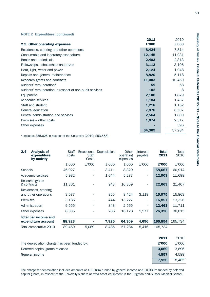#### **NOTE 2 Expenditure (continued)**

|                                                         | 2011   | 2010   |
|---------------------------------------------------------|--------|--------|
| 2.3 Other operating expenses                            | £'000  | £'000  |
| Residences, catering and other operations               | 8,424  | 7,814  |
| Consumable and laboratory expenditure                   | 12,145 | 11,031 |
| Books and periodicals                                   | 2,493  | 2,313  |
| Fellowships, scholarships and prizes                    | 3,113  | 3,106  |
| Heat, light, water and power                            | 2,124  | 1,948  |
| Repairs and general maintenance                         | 8,820  | 5,118  |
| Research grants and contracts                           | 11,003 | 10,450 |
| Auditors' remuneration*                                 | 59     | 58     |
| Auditors' remuneration in respect of non-audit services | 102    | 8      |
| Equipment                                               | 2,108  | 1,829  |
| Academic services                                       | 1,184  | 1,437  |
| Staff and student                                       | 1,218  | 1,152  |
| General education                                       | 7,878  | 6,507  |
| Central administration and services                     | 2,564  | 1,800  |
| Premises – other costs                                  | 1,074  | 2,317  |
| Other expenses                                          |        | 396    |
|                                                         | 64,309 | 57,284 |

\* Includes £55,625 in respect of the University (2010: £53,568)

| 2.4             | <b>Analysis of</b><br>expenditure<br>by activity | <b>Staff</b><br>costs | Exceptional<br><b>Staff</b><br>Costs | Depreciation | Other<br>operating<br>expenses | Interest<br>payable | <b>Total</b><br>2011 | Total<br>2010 |
|-----------------|--------------------------------------------------|-----------------------|--------------------------------------|--------------|--------------------------------|---------------------|----------------------|---------------|
|                 |                                                  | £'000                 | £'000                                | £'000        | £'000                          | £'000               | £'000                | £'000         |
| <b>Schools</b>  |                                                  | 46,927                |                                      | 3,411        | 8,329                          | ٠                   | 58,667               | 60,914        |
|                 | Academic services                                | 5,982                 |                                      | 1,644        | 5,277                          | ٠                   | 12,903               | 11,698        |
| & contracts     | Research grants                                  | 11,361                |                                      | 943          | 10,359                         |                     | 22,663               | 21,407        |
|                 | Residences, catering<br>and other operations     | 3,577                 |                                      | 855          | 8,424                          | 3,119               | 15,975               | 15,863        |
| <b>Premises</b> |                                                  | 3,186                 |                                      | 444          | 13,227                         | ٠                   | 16,857               | 13,326        |
|                 | Administration                                   | 9,555                 |                                      | 343          | 2,565                          |                     | 12,463               | 11,711        |
|                 | Other expenses                                   | 8,335                 |                                      | 286          | 16,128                         | 1,577               | 26,326               | 30,815        |
|                 | <b>Total per income and</b>                      |                       |                                      |              |                                |                     |                      |               |
|                 | expenditure account                              | 88,923                |                                      | 7,926        | 64,309                         | 4,696               | 165,854              | 165,734       |
|                 | Total comparative 2010                           | 89,460                | 5,089                                | 8,485        | 57,284                         | 5,416               | 165,734              |               |

|                                             | 2011  | 2010  |
|---------------------------------------------|-------|-------|
| The depreciation charge has been funded by: | £'000 | £'000 |
| Deferred capital grants released            | 3.069 | 3.896 |
| General income                              | 4.857 | 4.589 |
|                                             | 7.926 | 8.485 |

The charge for depreciation includes amounts of £0.018m funded by general income and £0.089m funded by deferred capital grants, in respect of the University's share of fixed asset equipment in the Brighton and Sussex Medical School.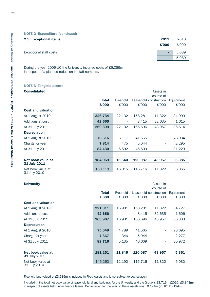#### **NOTE 2 Expenditure (continued)**

| 2.5 Exceptional items   | 2011         | 2010  |
|-------------------------|--------------|-------|
|                         | £'000        | £'000 |
| Exceptional staff costs | <b>STATE</b> | 5,089 |
|                         | ٠            | 5,089 |

During the year 2009-10 the University incurred costs of £5.089m in respect of a planned reduction in staff numbers.

# **NOTE 3 Tangible assets**

| <b>Consolidated</b>       |              | Assets in |           |                        |           |  |  |  |  |
|---------------------------|--------------|-----------|-----------|------------------------|-----------|--|--|--|--|
|                           |              |           | course of |                        |           |  |  |  |  |
|                           | <b>Total</b> | Freehold  |           | Leasehold construction | Equipment |  |  |  |  |
|                           | £'000        | £'000     | £'000     | £'000                  | £'000     |  |  |  |  |
| <b>Cost and valuation</b> |              |           |           |                        |           |  |  |  |  |
| At 1 August 2010          | 226,734      | 22,132    | 158,281   | 11,322                 | 34,999    |  |  |  |  |
| Additions at cost         | 42,665       |           | 8,415     | 32,635                 | 1,615     |  |  |  |  |
| At 31 July 2011           | 269,399      | 22,132    | 166,696   | 43,957                 | 36,614    |  |  |  |  |
| <b>Depreciation</b>       |              |           |           |                        |           |  |  |  |  |
| At 1 August 2010          | 76,616       | 6,117     | 41,565    | ٠                      | 28,934    |  |  |  |  |
| Charge for year           | 7,814        | 475       | 5,044     | ۰                      | 2,295     |  |  |  |  |
| At 31 July 2011           | 84,430       | 6,592     | 46.609    | ۰                      | 31,229    |  |  |  |  |
|                           |              |           |           |                        |           |  |  |  |  |
| Net book value at         | 184,969      | 15,540    | 120,087   | 43,957                 | 5,385     |  |  |  |  |
| 31 July 2011              |              |           |           |                        |           |  |  |  |  |
| Net book value at         | 150,118      | 16,015    | 116,716   | 11,322                 | 6,065     |  |  |  |  |
| 31 July 2010              |              |           |           |                        |           |  |  |  |  |

| <b>University</b>                 |              | Assets in |         |                          |           |  |  |  |
|-----------------------------------|--------------|-----------|---------|--------------------------|-----------|--|--|--|
|                                   |              |           |         | course of                |           |  |  |  |
|                                   | <b>Total</b> | Freehold  |         | Leasehold construction   | Equipment |  |  |  |
|                                   | £'000        | £'000     | £'000   | £'000                    | £'000     |  |  |  |
| <b>Cost and valuation</b>         |              |           |         |                          |           |  |  |  |
| At 1 August 2010                  | 221,311      | 16,981    | 158,281 | 11,322                   | 34,727    |  |  |  |
| Additions at cost                 | 42,656       |           | 8,415   | 32,635                   | 1,606     |  |  |  |
| At 31 July 2011                   | 263,967      | 16,981    | 166,696 | 43,957                   | 36,333    |  |  |  |
| <b>Depreciation</b>               |              |           |         |                          |           |  |  |  |
| At 1 August 2010                  | 75,049       | 4,789     | 41,565  | ٠                        | 28,695    |  |  |  |
| Charge for year                   | 7,667        | 346       | 5,044   | $\overline{\phantom{a}}$ | 2,277     |  |  |  |
| At 31 July 2011                   | 82,716       | 5,135     | 46,609  | ٠                        | 30,972    |  |  |  |
|                                   |              |           |         |                          |           |  |  |  |
| Net book value at                 | 181,251      | 11,846    | 120,087 | 43,957                   | 5,361     |  |  |  |
| 31 July 2011                      |              |           |         |                          |           |  |  |  |
| Net book value at<br>31 July 2010 | 146,262      | 12,192    | 116,716 | 11,322                   | 6,032     |  |  |  |

Freehold land valued at £3.639m is included in Fixed Assets and is not subject to depreciation.

Included in the total net book value of leasehold land and buildings for the University and the Group is £3.719m (2010: £3.843m) in respect of assets held under finance leases. Depreciation for the year on these assets was £0.124m (2010: £0.124m).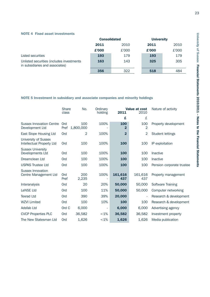#### **NOTE 4 Fixed asset investments**

|                                                                              | <b>Consolidated</b> |       | <b>University</b> |       |
|------------------------------------------------------------------------------|---------------------|-------|-------------------|-------|
|                                                                              | 2011<br>2010        |       | 2011              | 2010  |
|                                                                              | £'000               | £'000 | £'000             | £'000 |
| Listed securities                                                            | 193                 | 179   | 193               | 179   |
| Unlisted securities (includes investments<br>in subsidiaries and associates) | 163                 | 143   | 325               | 305   |
|                                                                              | 356                 | 322   | 518               | 484   |

#### **NOTE 5 Investment in subsidiary and associate companies and minority holdings**

|                                                    | <b>Share</b><br>class | No.              | Ordinary<br>holding      | <b>Value at cost</b><br>2011<br>2010 |                       | Nature of activity        |
|----------------------------------------------------|-----------------------|------------------|--------------------------|--------------------------------------|-----------------------|---------------------------|
|                                                    |                       |                  |                          | £                                    | £                     |                           |
| <b>Sussex Innovation Centre</b><br>Development Ltd | Ord<br>Pref           | 100<br>1,800,000 | 100%                     | 100<br>2                             | 100<br>$\overline{2}$ | Property development      |
| East Slope Housing Ltd                             | Ord                   | 2                | 100%                     | $\overline{\mathbf{2}}$              | 2                     | <b>Student lettings</b>   |
| University of Sussex<br>Intellectual Property Ltd  | Ord                   | 100              | 100%                     | 100                                  | 100                   | IP exploitation           |
| <b>Sussex University</b><br>Developments Ltd       | Ord                   | 100              | 100%                     | 100                                  | 100                   | <b>Inactive</b>           |
| Dreamclean Ltd                                     | Ord                   | 100              | 100%                     | 100                                  | 100                   | <b>Inactive</b>           |
| <b>USPAS Trustee Ltd</b>                           | Ord                   | 100              | 100%                     | 100                                  | 100                   | Pension corporate trustee |
| Sussex Innovation<br>Centre Management Ltd         | Ord<br>Pref           | 200<br>2,235     | 100%                     | 161,616<br>437                       | 161,616<br>437        | Property management       |
| <b>Interanalysis</b>                               | Ord                   | 20               | 20%                      | 50,000                               | 50,000                | <b>Software Training</b>  |
| <b>LeNSE Ltd</b>                                   | Ord                   | 100              | 11%                      | 50,000                               | 50,000                | Computer networking       |
| <b>Texrad Ltd</b>                                  | Ord                   | 390              | 39%                      | 20,000                               |                       | Research & development    |
| <b>WZVI Limited</b>                                | Ord                   | 100              | 10%                      | 100                                  | 100                   | Research & development    |
| Adsfab Ltd                                         | Ord C                 | 6,000            | $\overline{\phantom{a}}$ | 6,000                                | 6,000                 | Advertising agency        |
| <b>CVCP Properties PLC</b>                         | Ord                   | 36,582           | $< 1\%$                  | 36,582                               | 36,582                | Investment property       |
| The New Statesman Ltd                              | Ord                   | 1,626            | $< 1\%$                  | 1,626                                | 1,626                 | Media publication         |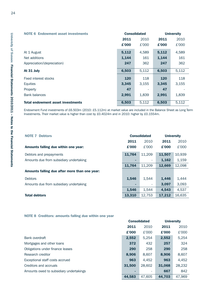| <b>NOTE 6 Endowment asset investments</b> |       | <b>Consolidated</b> | <b>University</b> |       |  |
|-------------------------------------------|-------|---------------------|-------------------|-------|--|
|                                           | 2011  | 2010                | 2011              | 2010  |  |
|                                           | £'000 | £'000               | £'000             | £'000 |  |
| At 1 August                               | 5,112 | 4,589               | 5,112             | 4,589 |  |
| Net additions                             | 1,144 | 161                 | 1,144             | 161   |  |
| Appreciation/(depreciation)               | 247   | 362                 | 247               | 362   |  |
| At 31 July                                | 6,503 | 5,112               | 6,503             | 5,112 |  |
| Fixed interest stocks                     | 120   | 118                 | 120               | 118   |  |
| Equities                                  | 3,345 | 3,155               | 3,345             | 3,155 |  |
| Property                                  | 47    |                     | 47                |       |  |
| <b>Bank balances</b>                      | 2,991 | 1,839               | 2,991             | 1,839 |  |
| <b>Total endowment asset investments</b>  | 6,503 | 5,112               | 6,503             | 5,112 |  |

Endowment Fund investments of £6.503m (2010: £5.112m) at market value are included in the Balance Sheet as Long Term Investments. Their market value is higher than cost by £0.4024m and in 2010: higher by £0.1554m.

| NOTE <sub>7</sub><br><b>Debtors</b>           | <b>Consolidated</b> |        | <b>University</b> |        |
|-----------------------------------------------|---------------------|--------|-------------------|--------|
|                                               | 2011                | 2010   | 2011              | 2010   |
| Amounts falling due within one year:          | £'000               | £'000  | £'000             | £'000  |
| Debtors and prepayments                       | 11,764              | 11,209 | 11,507            | 10,939 |
| Amounts due from subsidiary undertaking       | ۰                   |        | 1,162             | 1,159  |
|                                               | 11,764              | 11,209 | 12,669            | 12,098 |
| Amounts falling due after more than one year: |                     |        |                   |        |
| <b>Debtors</b>                                | 1,546               | 1.544  | 1,446             | 1,444  |
| Amounts due from subsidiary undertaking       | ۰                   |        | 3.097             | 3,093  |
|                                               | 1,546               | 1.544  | 4.543             | 4,537  |
| <b>Total debtors</b>                          | 13,310              | 12,753 | 17,212            | 16,635 |

**NOTE 8 Creditors: amounts falling due within one year**

|                                         | <b>Consolidated</b> |                          |        | <b>University</b> |
|-----------------------------------------|---------------------|--------------------------|--------|-------------------|
|                                         | 2011                | 2010                     | 2011   | 2010              |
|                                         | £'000               | £'000                    | £'000  | £'000             |
| Bank overdraft                          | 2,552               | 5,254                    | 2,552  | 5,254             |
| Mortgages and other loans               | 372                 | 432                      | 257    | 324               |
| Obligations under finance leases        | 290                 | 258                      | 290    | 258               |
| Research creditor                       | 8,906               | 8,607                    | 8,906  | 8,607             |
| Exceptional staff costs accrued         | 963                 | 4,452                    | 963    | 4,452             |
| Creditors and accruals                  | 31,500              | 28,602                   | 31,068 | 28,232            |
| Amounts owed to subsidiary undertakings |                     | $\overline{\phantom{a}}$ | 667    | 842               |
|                                         | 44,583              | 47,605                   | 44,703 | 47,969            |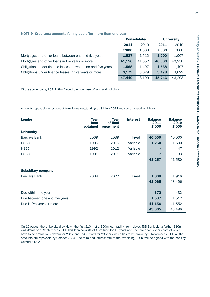|                                                             | <b>Consolidated</b> |        |        | <b>University</b> |
|-------------------------------------------------------------|---------------------|--------|--------|-------------------|
|                                                             | 2011                | 2010   | 2011   | 2010              |
|                                                             | £'000               | £'000  | £'000  | £'000             |
| Mortgages and other loans between one and five years        | 1,537               | 1,512  | 1,000  | 1,007             |
| Mortgages and other loans in five years or more             | 41,156              | 41,552 | 40,000 | 40,250            |
| Obligations under finance leases between one and five years | 1,568               | 1.407  | 1,568  | 1,407             |
| Obligations under finance leases in five years or more      |                     | 3,629  | 3.178  | 3,629             |
|                                                             | 47,440              | 48,100 | 45.746 | 46,293            |

Of the above loans, £37.218m funded the purchase of land and buildings.

Amounts repayable in respect of bank loans outstanding at 31 July 2011 may be analysed as follows:

| <b>Lender</b>                  | Year<br><b>loan</b><br>obtained | Year<br>of final<br>repayment | <b>Interest</b> | <b>Balance</b><br>2011<br>£'000 | <b>Balance</b><br>2010<br>£'000 |
|--------------------------------|---------------------------------|-------------------------------|-----------------|---------------------------------|---------------------------------|
| <b>University</b>              |                                 |                               |                 |                                 |                                 |
| <b>Barclays Bank</b>           | 2009                            | 2039                          | Fixed           | 40,000                          | 40,000                          |
| <b>HSBC</b>                    | 1996                            | 2016                          | Variable        | 1,250                           | 1,500                           |
| <b>HSBC</b>                    | 1992                            | 2012                          | Variable        |                                 | 47                              |
| <b>HSBC</b>                    | 1991                            | 2011                          | Variable        | 7                               | 33                              |
|                                |                                 |                               |                 | 41,257                          | 41,580                          |
| <b>Subsidiary company</b>      |                                 |                               |                 |                                 |                                 |
| <b>Barclays Bank</b>           | 2004                            | 2022                          | Fixed           | 1,808                           | 1,916                           |
|                                |                                 |                               |                 | 43,065                          | 43,496                          |
|                                |                                 |                               |                 |                                 |                                 |
| Due within one year            |                                 |                               |                 | 372                             | 432                             |
| Due between one and five years |                                 |                               |                 | 1,537                           | 1,512                           |
| Due in five years or more      |                                 |                               |                 | 41,156                          | 41,552                          |
|                                |                                 |                               |                 | 43,065                          | 43,496                          |

On 16 August the University drew down the first £10m of a £50m loan facility from Lloyds TSB Bank plc, a further £10m was drawn on 5 September 2011. This loan consists of £5m fixed for 10 years and £5m fixed for 5 years both of which have to be drawn by 3 November 2012 and £20m fixed for 23 years which has to be drawn by 3 November 2011. All the amounts are repayable by October 2034. The term and interest rate of the remaining £20m will be agreed with the bank by October 2012.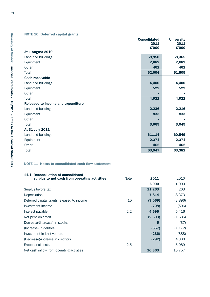# **NOTE 10 Deferred capital grants**

|                                    | <b>Consolidated</b> | <b>University</b> |
|------------------------------------|---------------------|-------------------|
|                                    | 2011                | 2011              |
|                                    | £'000               | £'000             |
| <b>At 1 August 2010</b>            |                     |                   |
| Land and buildings                 | 58,950              | 58,365            |
| Equipment                          | 2,682               | 2,682             |
| Other                              | 462                 | 462               |
| Total                              | 62,094              | 61,509            |
| <b>Cash receivable</b>             |                     |                   |
| Land and buildings                 | 4,400               | 4,400             |
| Equipment                          | 522                 | 522               |
| Other                              |                     |                   |
| <b>Total</b>                       | 4,922               | 4,922             |
| Released to income and expenditure |                     |                   |
| Land and buildings                 | 2,236               | 2,216             |
| Equipment                          | 833                 | 833               |
| Other                              |                     |                   |
| <b>Total</b>                       | 3,069               | 3,049             |
| At 31 July 2011                    |                     |                   |
| Land and buildings                 | 61,114              | 60,549            |
| Equipment                          | 2,371               | 2,371             |
| Other                              | 462                 | 462               |
| <b>Total</b>                       | 63,947              | 63,382            |

#### **NOTE 11 Notes to consolidated cash flow statement**

| 11.1 Reconciliation of consolidated           |             |         |          |
|-----------------------------------------------|-------------|---------|----------|
| surplus to net cash from operating activities | <b>Note</b> | 2011    | 2010     |
|                                               |             | £'000   | £'000    |
| Surplus before tax                            |             | 11,263  | 263      |
| Depreciation                                  |             | 7,814   | 8,373    |
| Deferred capital grants released to income    | 10          | (3,069) | (3,896)  |
| Investment income                             |             | (708)   | (506)    |
| Interest payable                              | 2.2         | 4,696   | 5,416    |
| Net pension credit                            |             | (2,503) | (1,685)  |
| Decrease/(increase) in stocks                 |             | 5       | (37)     |
| (Increase) in debtors                         |             | (557)   | (1, 172) |
| Investment in joint venture                   |             | (286)   | (388)    |
| (Decrease)/increase in creditors              |             | (292)   | 4,300    |
| <b>Exceptional costs</b>                      | 2.5         |         | 5,089    |
| Net cash inflow from operating activities     |             | 16,363  | 15,757   |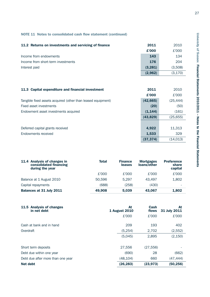# **NOTE 11 Notes to consolidated cash flow statement (continued)**

| 11.2 Returns on investments and servicing of finance | 2011    | 2010     |
|------------------------------------------------------|---------|----------|
|                                                      | £'000   | £'000    |
| Income from endowments                               | 143     | 134      |
| Income from short-term investments                   | 176     | 204      |
| Interest paid                                        | (3,281) | (3,508)  |
|                                                      | (2,962) | (3, 170) |

| 11.3 Capital expenditure and financial investment            | 2011      | 2010      |
|--------------------------------------------------------------|-----------|-----------|
|                                                              | £'000     | £'000     |
| Tangible fixed assets acquired (other than leased equipment) | (42, 665) | (25, 444) |
| Fixed asset investments                                      | (20)      | (50)      |
| Endowment asset investments acquired                         | (1, 144)  | (161)     |
|                                                              | (43,829)  | (25, 655) |
|                                                              |           |           |
| Deferred capital grants received                             | 4,922     | 11,313    |
| Endowments received                                          | 1,533     | 329       |
|                                                              | (37, 374) | (14, 013) |

| 11.4 Analysis of changes in<br>consolidated financing<br>during the year | <b>Total</b> | <b>Finance</b><br>leases | <b>Mortgages</b><br>loans/other | <b>Preference</b><br>share<br>capital |
|--------------------------------------------------------------------------|--------------|--------------------------|---------------------------------|---------------------------------------|
|                                                                          | £'000        | £'000                    | £'000                           | £'000                                 |
| Balance at 1 August 2010                                                 | 50.596       | 5.297                    | 43.497                          | 1.802                                 |
| Capital repayments                                                       | (688)        | (258)                    | (430)                           | -                                     |
| <b>Balances at 31 July 2011</b>                                          | 49.908       | 5,039                    | 43.067                          | 1.802                                 |

| <b>Analysis of changes</b><br><b>11.5</b><br>in net debt | At<br><b>1 August 2010</b> | Cash<br>flows | At<br>31 July 2011 |
|----------------------------------------------------------|----------------------------|---------------|--------------------|
|                                                          | £'000                      | £'000         | £'000              |
| Cash at bank and in hand                                 | 209                        | 193           | 402                |
| Overdraft                                                | (5,254)                    | 2,702         | (2,552)            |
|                                                          | (5,045)                    | 2,895         | (2, 150)           |
| Short term deposits                                      | 27,556                     | (27, 556)     |                    |
| Debt due within one year                                 | (690)                      | 28            | (662)              |
| Debt due after more than one year                        | (48,104)                   | 660           | (47, 444)          |
| Net debt                                                 | (26, 283)                  | (23, 973)     | (50, 256)          |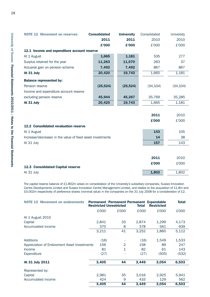| <b>NOTE 12 Movement on reserves</b>                         | <b>Consolidated</b> | <b>University</b> | Consolidated | <b>University</b> |
|-------------------------------------------------------------|---------------------|-------------------|--------------|-------------------|
|                                                             | 2011                | 2011              | 2010         | 2010              |
|                                                             | £'000               | £'000             | £'000        | £'000             |
| 12.1 Income and expenditure account reserve                 |                     |                   |              |                   |
| At 1 August                                                 | 1,665               | 1,181             | 535          | 277               |
| Surplus retained for the year                               | 11,263              | 11,070            | 263          | 37                |
| Actuarial gain on pension scheme                            | 7,492               | 7,492             | 867          | 867               |
| At 31 July                                                  | 20,420              | 19,743            | 1,665        | 1,181             |
| <b>Balance represented by:</b>                              |                     |                   |              |                   |
| Pension reserve                                             | (25, 524)           | (25, 524)         | (34, 104)    | (34, 104)         |
| Income and expenditure account reserve                      |                     |                   |              |                   |
| excluding pension reserve                                   | 45,944              | 45,267            | 35,769       | 35,285            |
| At 31 July                                                  | 20,420              | 19,743            | 1,665        | 1,181             |
|                                                             |                     |                   |              |                   |
|                                                             |                     |                   | 2011         | 2010              |
|                                                             |                     |                   | £'000        | £'000             |
| <b>12.2 Consolidated revaluation reserve</b>                |                     |                   |              |                   |
| At 1 August                                                 |                     |                   | 143          | 105               |
| Increase/(decrease) in the value of fixed asset investments |                     |                   | 14           | 38                |
| At 31 July                                                  |                     |                   | 157          | 143               |
|                                                             |                     |                   |              |                   |
|                                                             |                     |                   |              |                   |
|                                                             |                     |                   | 2011         | 2010              |
| 12.3 Consolidated Capital reserve                           |                     |                   | £'000        | £'000             |
| At 31 July                                                  |                     |                   | 1,802        | 1,802             |

The capital reserve balance of £1.802m arises on consolidation of the University's subsidiary companies, Sussex Innovation Centre Developments Limited and Sussex Innovation Centre Management Limited, and relates to the acquisition of £1.8m and £0.002m respectively of preference shares (nominal value) in the companies on the 31 July 2008 for a consideration of £2.

| <b>NOTE 13 Movement on endowments</b>       |       | <b>Restricted Unrestricted</b> | <b>Total</b> | <b>Permanent Permanent Permanent Expendable</b><br><b>Restricted</b> | <b>Total</b> |
|---------------------------------------------|-------|--------------------------------|--------------|----------------------------------------------------------------------|--------------|
|                                             | £'000 | £'000                          | £'000        | £'000                                                                | £'000        |
| At 1 August 2010                            |       |                                |              |                                                                      |              |
| Capital                                     | 2,841 | 33                             | 2,874        | 1,299                                                                | 4,173        |
| Accumulated income                          | 370   | 8                              | 378          | 561                                                                  | 939          |
|                                             | 3,211 | 41                             | 3,252        | 1,860                                                                | 5,112        |
| <b>Additions</b>                            | (16)  |                                | (16)         | 1,549                                                                | 1,533        |
| Appreciation of Endowment Asset Investments | 156   | $\overline{2}$                 | 158          | 89                                                                   | 247          |
| Income                                      | 81    | $\mathbf{1}$                   | 82           | 61                                                                   | 143          |
| Expenditure                                 | (27)  |                                | (27)         | (505)                                                                | (532)        |
| At 31 July 2011                             | 3,405 | 44                             | 3,449        | 3,054                                                                | 6,503        |
| Represented by:                             |       |                                |              |                                                                      |              |
| Capital                                     | 2,981 | 35                             | 3,016        | 2,925                                                                | 5,941        |
| Accumulated income                          | 424   | 9                              | 433          | 129                                                                  | 562          |
|                                             | 3,405 | 44                             | 3,449        | 3,054                                                                | 6,503        |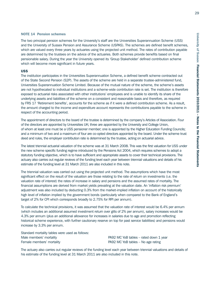#### **NOTE 14 Pension schemes**

The two principal pension schemes for the University's staff are the Universities Superannuation Scheme (USS) and the University of Sussex Pension and Assurance Scheme (USPAS). The schemes are defined benefit schemes, which are valued every three years by actuaries using the projected unit method. The rates of contribution payable are determined by the trustees on the advice of the actuaries. Both schemes provide benefits based on final pensionable salary. During the year the University opened its 'Group Stakeholder' defined contribution scheme which will become more significant in future years.

#### **USS**

The institution participates in the Universities Superannuation Scheme, a defined benefit scheme contracted out of the State Second Pension (S2P). The assets of the scheme are held in a separate trustee-administered fund, Universities Superannuation Scheme Limited. Because of the mutual nature of the scheme, the scheme's assets are not hypothecated to individual institutions and a scheme-wide contribution rate is set. The institution is therefore exposed to actuarial risks associated with other institutions' employees and is unable to identify its share of the underlying assets and liabilities of the scheme on a consistent and reasonable basis and therefore, as required by FRS 17 'Retirement benefits', accounts for the scheme as if it were a defined contribution scheme. As a result, the amount charged to the income and expenditure account represents the contributions payable to the scheme in respect of the accounting period.

The appointment of directors to the board of the trustee is determined by the company's Articles of Association. Four of the directors are appointed by Universities UK; three are appointed by the University and College Union, of whom at least one must be a USS pensioner member; one is appointed by the Higher Education Funding Councils; and a minimum of two and a maximum of four are co-opted directors appointed by the board. Under the scheme trust deed and rules, the employer contribution rate is determined by the trustee, acting on actuarial advice.

The latest triennial actuarial valuation of the scheme was at 31 March 2008. This was the first valuation for USS under the new scheme specific funding regime introduced by the Pensions Act 2004, which requires schemes to adopt a statutory funding objective, which is to have sufficient and appropriate assets to cover their technical provisions. The actuary also carries out regular reviews of the funding level each year between triennial valuations and details of his estimate of the funding level at 31 March 2011 are also included in this note.

The triennial valuation was carried out using the projected unit method. The assumptions which have the most significant effect on the result of the valuation are those relating to the rate of return on investments (i.e. the valuation rate of interest) the rates of increase in salary and pensions and the assumed rates of mortality. The financial assumptions are derived from market yields prevailing at the valuation date. An 'inflation risk premium' adjustment was also included by deducting 0.3% from the market-implied inflation on account of the historically high level of inflation implied by the government bonds (particularly when compared to the Bank of England's target of 2% for CPI which corresponds broadly to 2.75% for RPI per annum).

To calculate the technical provisions, it was assumed that the valuation rate of interest would be 6.4% per annum (which includes an additional assumed investment return over gilts of 2% per annum), salary increases would be 4.3% per annum (plus an additional allowance for increases in salaries due to age and promotion reflecting historical scheme experience, with further cautionary reserve on top for past service liabilities) and pensions would increase by 3.3% per annum.

Standard mortality tables were used as follows: Male members' mortality example that the example of PA92 MC YoB tables – rated down 1 year Female members' mortality PA92 MC YoB tables – No age rating

The actuary also carries out regular reviews of the funding level each year between triennial valuations and details of his estimate of the funding level at 31 March 2011 are also included in this note.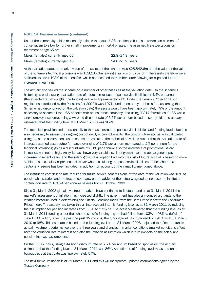Use of these mortality tables reasonably reflects the actual USS experience but also provides an element of conservatism to allow for further small improvements in mortality rates. The assumed life expectations on retirement at age 65 are:

| Males (females) currently aged 65 | 22.8 (24.8) years |
|-----------------------------------|-------------------|
| Males (females) currently aged 45 | 24.0 (25.9) years |

At the valuation date, the market value of the assets of the scheme was £28,842.6m and the value of the value of the scheme's technical provisions was £28,135.3m leaving a surplus of £707.3m. The assets therefore were sufficient to cover 103% of the benefits, which had accrued to members after allowing for expected future increases in earnings.

The actuary also valued the scheme on a number of other bases as at the valuation date. On the scheme's historic gilts basis, using a valuation rate of interest in respect of past service liabilities of 4.4% per annum (the expected return on gilts) the funding level was approximately 71%. Under the Pension Protection Fund regulations introduced by the Pensions Act 2004 it was 107% funded; on a buy out basis (i.e. assuming the Scheme had discontinued on the valuation date) the assets would have been approximately 79% of the amount necessary to secure all the USS benefits with an insurance company; and using FRS17 formula as if USS was a single employer scheme, using a AA bond discount rate of 6.5% per annum based on spot yields, the actuary estimated that the funding level at 31 March 2008 was 104%.

The technical provisions relate essentially to the past service the past service liabilities and funding levels, but it is also necessary to assess the ongoing cost of newly accruing benefits. The cost of future accrual was calculated using the same assumptions as those used to calculate the technical provisions except that the valuation rate of interest assumed asset outperformance over gilts of 1.7% per annum (compared to 2% per annum for the technical provisions) giving a discount rate of 6.1% per annum; also the allowance of promotional salary increases was not as high. Analysis has shown very variable levels of growth over and above general pay increases in recent years, and the salary growth assumption built into the cost of future accrual is based on more stable , historic, salary experience. However when calculating the past service liabilities of the scheme, a cautionary reserve has been included, in addition, on account of the variability mentioned above.

The institution contribution rate required for future service benefits alone at the date of the valuation was 16% of pensionable salaries and the trustee company, on the advice of the actuary, agreed to increase the institution contribution rate to 16% of pensionable salaries from 1 October 2009.

Since 31 March 2008 global investment markets have continued to fluctuate and as at 31 March 2011 the market's assessment of inflation has increased slightly. The government has also announced a change to the inflation measure used in determining the 'Official Pensions Index' from the Retail Price Index to the Consumer Prices Index. The actuary has taken this all into account into his funding level as at 31 March 2011 by reducing the assumption for pension increases from 3.3% to 2.9% pa. The actuary estimated that the funding level as at 31 March 2011 funding under the scheme specific funding regime had fallen from 103% to 98% (a deficit of circa £700 million). Over the past the past 12 months, the funding level has improved from 91% as at 31 March 2010 to 98%. This estimate is based on the funding level at the 31 March 2008, adjusted to reflect the fund's actual investment performance over the three years and changes in market conditions (market conditions affect both the valuation rate of interest and also the inflation assumption which in turn impacts on the salary and pension increase assumptions).

On the FRS17 basis, using a AA bond discount rate of 5.5% per annum based on spot yields, the actuary estimated that the funding level at 31 March 2011 was 86%. An estimate of funding level measured on a buyout basis at that date was approximately 54%.

The next formal valuation is at 31 March 2011 and this will incorporate updated assumptions agreed by the Trustee Company.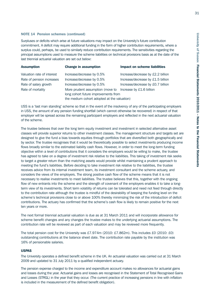Surpluses or deficits which arise at future valuations may impact on the University's future contribution commitment. A deficit may require additional funding in the form of higher contribution requirements, where a surplus could, perhaps, be used to similarly reduce contribution requirements. The sensitivities regarding the principal assumptions used to measure the scheme liabilities on technical provisions basis as at the date of the last triennial actuarial valuation are set out below:

| <b>Assumption</b>          | <b>Change in assumption</b>                                              | <b>Impact on scheme liabilities</b> |  |  |
|----------------------------|--------------------------------------------------------------------------|-------------------------------------|--|--|
| Valuation rate of interest | Increase/decrease by 0.5%                                                | Increase/decrease by £2.2 billion   |  |  |
| Rate of pension increases  | Increase/decrease by 0.5%                                                | Increase/decrease by £1.5 billion   |  |  |
| Rate of salary growth      | Increase/decrease by 0.5%                                                | Increase/decrease by £0.7 billion   |  |  |
| Rate of mortality          | More prudent assumption (move to<br>long cohort future improvements from | Increase by £1.6 billion            |  |  |
|                            | the medium cohort adopted at the valuation)                              |                                     |  |  |

USS is a 'last man standing' scheme so that in the event of the insolvency of any of the participating employers in USS, the amount of any pension funding shortfall (which cannot otherwise be recovered) in respect of that employer will be spread across the remaining participant employers and reflected in the next actuarial valuation of the scheme.

The trustee believes that over the long term equity investment and investment in selected alternative asset classes will provide superior returns to other investment classes. The management structure and targets set are designed to give the fund a bias towards equities through portfolios that are diversified both geographically and by sector. The trustee recognises that it would be theoretically possible to select investments producing income flows broadly similar to the estimated liability cash flows. However, in order to meet the long-term funding objective within a level of contributions that it considers the employers would be willing to make, the trustee has agreed to take on a degree of investment risk relative to the liabilities. This taking of investment risk seeks to target a greater return than the matching assets would provide whilst maintaining a prudent approach to meeting the fund's liabilities. Before deciding to take investment risk relative to the liabilities, the trustee receives advice from its internal investment team, its investment consultant and the scheme actuary, and considers the views of the employers. The strong positive cash flow of the scheme means that it is not necessary to realise investments to meet liabilities. The trustee believes that this, together with the ongoing flow of new entrants into the scheme and the strength of covenant of the employers enables it to take a longterm view of its investments. Short term volatility of returns can be tolerated and need not feed through directly to the contribution rate although the trustee is mindful of the desirability of keeping the funding level on the scheme's technical provisions close to or above 100% thereby minimizing the risk of the introduction of deficit contributions. The actuary has confirmed that the scheme's cash flow is likely to remain positive for the next ten years or more.

The next formal triennial actuarial valuation is due as at 31 March 2011 and will incorporate allowance for scheme benefit changes and any changes the trustee makes to the underlying actuarial assumptions. The contribution rate will be reviewed as part of each valuation and may be reviewed more frequently.

The total pension cost for the University was £7.974m (2010: £7.862m). This includes £0 (2010: £0) outstanding contributions at the balance sheet date. The contribution rate payable by the institution was 16% of pensionable salaries.

#### **USPAS**

The University operates a defined benefit scheme in the UK. An actuarial valuation was carried out at 31 March 2009 and updated to 31 July 2011 by a qualified independent actuary.

The pension expense charged to the income and expenditure account makes no allowances for actuarial gains and losses during the year. Actuarial gains and losses are recognised in the Statement of Total Recognised Gains and Losses (STRGL) in the year that they occur. (The current practice of increasing pensions in line with inflation is included in the measurement of the defined benefit obligation).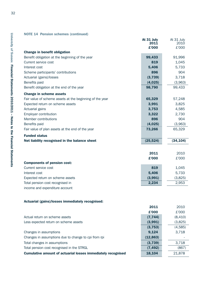|                                                          | At 31 July<br>2011<br>£'000 | At 31 July<br>2010<br>£'000 |
|----------------------------------------------------------|-----------------------------|-----------------------------|
| <b>Change in benefit obligation</b>                      |                             |                             |
| Benefit obligation at the beginning of the year          | 99,433                      | 91,996                      |
| Current service cost                                     | 819                         | 1,045                       |
| Interest cost                                            | 5,406                       | 5,733                       |
| Scheme participants' contributions                       | 896                         | 904                         |
| Actuarial (gains)/losses                                 | (3,739)                     | 3,718                       |
| Benefits paid                                            | (4,025)                     | (3,963)                     |
| Benefit obligation at the end of the year                | 98,790                      | 99,433                      |
| <b>Change in scheme assets</b>                           |                             |                             |
| Fair value of scheme assets at the beginning of the year | 65,329                      | 57,248                      |
| Expected return on scheme assets                         | 3,991                       | 3,825                       |
| Actuarial gains                                          | 3,753                       | 4,585                       |
| Employer contribution                                    | 3,322                       | 2,730                       |
| Member contributions                                     | 896                         | 904                         |
| Benefits paid                                            | (4,025)                     | (3,963)                     |
| Fair value of plan assets at the end of the year         | 73,266                      | 65,329                      |
| <b>Funded status</b>                                     |                             |                             |
| Net liability recognised in the balance sheet            | (25, 524)                   | (34, 104)                   |
|                                                          |                             |                             |
|                                                          | 2011                        | 2010                        |
|                                                          | £'000                       | £'000                       |
| <b>Components of pension cost:</b>                       | Q <sub>1</sub> Q            |                             |
| Currant convice cost                                     |                             | $1$ $045$                   |

| Current service cost             | 819     | 1.045   |
|----------------------------------|---------|---------|
| Interest cost                    | 5.406   | 5.733   |
| Expected return on scheme assets | (3.991) | (3.825) |
| Total pension cost recognised in | 2.234   | 2.953   |
| income and expenditure account   |         |         |

#### **Actuarial (gains)/losses immediately recognised:**

|                                                              | 2011      | 2010    |
|--------------------------------------------------------------|-----------|---------|
|                                                              | £'000     | £'000   |
| Actual return on scheme assets                               | (7, 744)  | (8,410) |
| Less expected return on scheme assets                        | (3,991)   | (3,825) |
|                                                              | (3, 753)  | (4,585) |
| Changes in assumptions                                       | 9,124     | 3,718   |
| Changes in assumptions due to change to cpi from rpi         | (12, 863) |         |
| Total changes in assumptions                                 | (3,739)   | 3,718   |
| Total pension cost recognised in the STRGL                   | (7, 492)  | (867)   |
| Cumulative amount of actuarial losses immediately recognised | 18,104    | 21,878  |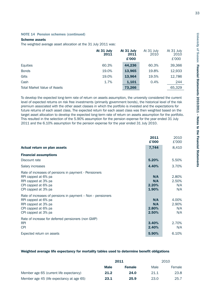#### **Scheme assets**

The weighted average asset allocation at the 31 July 2011 was:

|                                     | At 31 July<br>2011 | At 31 July<br>2011<br>£'000 | At 31 July<br>2010 | At 31 July<br>2010<br>£'000 |
|-------------------------------------|--------------------|-----------------------------|--------------------|-----------------------------|
| Equities                            | 60.3%              | 44,236                      | 60.3%              | 39,366                      |
| <b>Bonds</b>                        | 19.0%              | 13,965                      | 19.8%              | 12,933                      |
| Gilts                               | 19.0%              | 13,964                      | 19.5%              | 12,786                      |
| Cash                                | 1.7%               | 1,101                       | 0.4%               | 244                         |
| <b>Total Market Value of Assets</b> |                    | 73,266                      |                    | 65,329                      |

To develop the expected long-term rate of return on assets assumption, the university considered the current level of expected returns on risk free investments (primarily government bonds), the historical level of the risk premium associated with the other asset classes in which the portfolio is invested and the expectations for future returns of each asset class. The expected return for each asset class was then weighted based on the target asset allocation to develop the expected long-term rate of return on assets assumption for the portfolio. This resulted in the selection of the 5.90% assumption for the pension expense for the year ended 31 July 2011 and the 6.10% assumption for the pension expense for the year ended 31 July 2010.

|                                                                                                                                                         | 2011<br>£'000                | 2010<br>£'000                |
|---------------------------------------------------------------------------------------------------------------------------------------------------------|------------------------------|------------------------------|
| Actual return on plan assets                                                                                                                            | 7,744                        | 8,410                        |
| <b>Financial assumptions</b>                                                                                                                            |                              |                              |
| Discount rate                                                                                                                                           | 5.20%                        | 5.50%                        |
| Salary increases                                                                                                                                        | 4.40%                        | 3.70%                        |
| Rate of increases of pensions in payment - Pensioners<br>RPI capped at 6% pa<br>RPI capped at 3% pa<br>CPI capped at 6% pa<br>CPI capped at 3% pa       | N/A<br>N/A<br>2.20%<br>1.90% | 2.80%<br>2.50%<br>N/A<br>N/A |
| Rate of increases of pensions in payment – Non - pensioners<br>RPI capped at 6% pa<br>RPI capped at 3% pa<br>CPI capped at 6% pa<br>CPI capped at 3% pa | N/A<br>N/A<br>2.80%<br>2.50% | 4.00%<br>2.90%<br>N/A<br>N/A |
| Rate of increase for deferred pensioners (non GMP)<br><b>RPI</b><br><b>CPI</b>                                                                          | 3.40%<br>2.40%               | 2.70%<br>N/A                 |
| Expected return on assets                                                                                                                               | 5.90%                        | 6.10%                        |

#### **Weighted average life expectancy for mortality tables used to determine benefit obligations**

|                                           | 2011        |               | 2010 |        |
|-------------------------------------------|-------------|---------------|------|--------|
|                                           | <b>Male</b> | <b>Female</b> | Male | Female |
| Member age 65 (current life expectancy)   | 21.2        | 24.0          | 21.1 | 23.8   |
| Member age 45 (life expectancy at age 65) | 23.1        | 25.9          | 23.0 | 25.7   |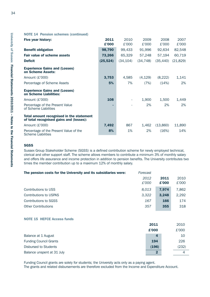|  |  |  | <b>NOTE 14 Pension schemes (continued)</b> |
|--|--|--|--------------------------------------------|
|--|--|--|--------------------------------------------|

| Five year history:                                                                  | 2011      | 2010      | 2009      | 2008      | 2007      |
|-------------------------------------------------------------------------------------|-----------|-----------|-----------|-----------|-----------|
|                                                                                     | £'000     | £'000     | £'000     | £'000     | £'000     |
| <b>Benefit obligation</b>                                                           | 98,790    | 99,433    | 91,996    | 92,634    | 82,548    |
| <b>Fair value of scheme assets</b>                                                  | 73,266    | 65,329    | 57,248    | 57,194    | 60,719    |
| <b>Deficit</b>                                                                      | (25, 524) | (34, 104) | (34, 748) | (35, 440) | (21, 829) |
| <b>Experience Gains and (Losses)</b><br>on Scheme Assets:                           |           |           |           |           |           |
| Amount (£'000)                                                                      | 3,753     | 4,585     | (4, 129)  | (8, 222)  | 1,141     |
| Percentage of Scheme Assets                                                         | 5%        | 7%        | (7%)      | (14%)     | 2%        |
| <b>Experience Gains and (Losses)</b><br>on Scheme Liabilities:                      |           |           |           |           |           |
| Amount (£'000)                                                                      | 108       |           | 1,900     | 1,500     | 1,449     |
| Percentage of the Present Value<br>of Scheme Liabilities                            |           |           | 2%        | 2%        | 2%        |
| Total amount recognised in the statement<br>of total recognised gains and (losses): |           |           |           |           |           |
| Amount (£'000)                                                                      | 7,492     | 867       | 1,462     | (13,860)  | 11,890    |
| Percentage of the Present Value of the<br><b>Scheme Liabilities</b>                 | 8%        | 1%        | 2%        | (16%)     | 14%       |

#### **SGSS**

Sussex Group Stakeholder Scheme (SGSS) is a defined contribution scheme for newly employed technical, clerical and other support staff. The scheme allows members to contribute a minimum 3% of monthly salary and offers life assurance and income protection in addition to pension benefits. The University contributes two times the member contribution up to a maximum 12% of monthly salary.

| Forecast |       |       |
|----------|-------|-------|
| 2012     | 2011  | 2010  |
| £'000    | £'000 | £'000 |
| 8.013    | 7.974 | 7,862 |
| 3,322    | 3.248 | 2.292 |
| 167      | 166   | 174   |
| 357      | 355   | 318   |
|          |       |       |

#### **NOTE 15 HEFCE Access funds**

|                               | 2011        | 2010  |
|-------------------------------|-------------|-------|
|                               | £'000       | £'000 |
| Balance at 1 August           | 4           | 10    |
| <b>Funding Council Grants</b> | 194         | 226   |
| Disbursed to Students         | (196)       | (232) |
| Balance unspent at 31 July    | $\mathbf 2$ | 4     |

Funding Council grants are solely for students; the University acts only as a paying agent.

The grants and related disbursements are therefore excluded from the Income and Expenditure Account.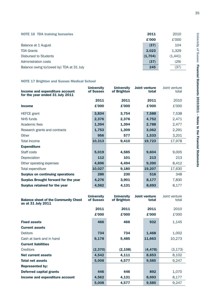| <b>NOTE 16 TDA training bursaries</b>     | 2011    | 2010    |
|-------------------------------------------|---------|---------|
|                                           | £'000   | £'000   |
| Balance at 1 August                       | (37)    | 104     |
| <b>TDA Grants</b>                         | 2,023   | 1,329   |
| Disbursed to Students                     | (1,704) | (1,441) |
| Administration costs                      | (37)    | (29)    |
| Balance owing to/(owed by) TDA at 31 July | 245     | (37)    |

# **NOTE 17 Brighton and Sussex Medical School**

| Income and expenditure account<br>for the year ended 31 July 2011 | <b>University</b><br>of Sussex | <b>University</b><br>of Brighton | <b>Joint venture</b><br>total | Joint venture<br>total |
|-------------------------------------------------------------------|--------------------------------|----------------------------------|-------------------------------|------------------------|
|                                                                   | 2011                           | 2011                             | 2011                          | 2010                   |
| <b>Income</b>                                                     | £'000                          | £'000                            | £'000                         | £'000                  |
| <b>HEFCE</b> grant                                                | 3,834                          | 3,754                            | 7,588                         | 7,538                  |
| NHS funds                                                         | 2,376                          | 2,376                            | 4,752                         | 2,471                  |
| Academic fees                                                     | 1,394                          | 1,394                            | 2,788                         | 2,477                  |
| Research grants and contracts                                     | 1,753                          | 1,309                            | 3,062                         | 2,291                  |
| Other                                                             | 956                            | 577                              | 1,533                         | 3,201                  |
| <b>Total Income</b>                                               | 10,313                         | 9,410                            | 19,723                        | 17,978                 |
| <b>Expenditure</b>                                                |                                |                                  |                               |                        |
| Staff costs                                                       | 5,019                          | 4,585                            | 9,604                         | 9,005                  |
| Depreciation                                                      | 112                            | 101                              | 213                           | 213                    |
| Other operating expenses                                          | 4,896                          | 4,494                            | 9,390                         | 8,412                  |
| Total expenditure                                                 | 10,027                         | 9,180                            | 19,207                        | 17,630                 |
| <b>Surplus on continuing operations</b>                           | 286                            | 230                              | 516                           | 348                    |
| <b>Surplus Brought forward for the year</b>                       | 4,276                          | 3,901                            | 8,177                         | 7,830                  |
| Surplus retained for the year                                     | 4,562                          | 4,131                            | 8,693                         | 8,177                  |

| <b>Balance sheet of the Community Chest</b><br>as at 31 July 2011 | <b>University</b><br>of Sussex | <b>University</b><br>of Brighton | <b>Joint venture</b><br>total | Joint venture<br>total |
|-------------------------------------------------------------------|--------------------------------|----------------------------------|-------------------------------|------------------------|
|                                                                   | 2011                           | 2011                             | 2011                          | 2010                   |
|                                                                   | £'000                          | £'000                            | £'000                         | £'000                  |
| <b>Fixed assets</b>                                               | 466                            | 466                              | 932                           | 1,145                  |
| <b>Current assets</b>                                             |                                |                                  |                               |                        |
| <b>Debtors</b>                                                    | 734                            | 734                              | 1,468                         | 1,002                  |
| Cash at bank and in hand                                          | 6,178                          | 5,485                            | 11,663                        | 10,273                 |
| <b>Current liabilities</b>                                        |                                |                                  |                               |                        |
| Creditors                                                         | (2, 370)                       | (2, 108)                         | (4, 478)                      | (3, 173)               |
| Net current assets                                                | 4,542                          | 4,111                            | 8,653                         | 8,102                  |
| <b>Total net assets</b>                                           | 5,008                          | 4.577                            | 9,585                         | 9,247                  |
| <b>Represented by:</b>                                            |                                |                                  |                               |                        |
| <b>Deferred capital grants</b>                                    | 446                            | 446                              | 892                           | 1,070                  |
| Income and expenditure account                                    | 4,562                          | 4,131                            | 8,693                         | 8,177                  |
|                                                                   | 5,008                          | 4,577                            | 9,585                         | 9.247                  |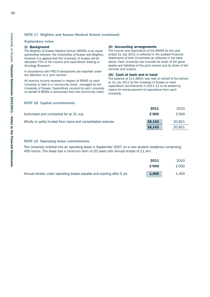#### **NOTE 17 Brighton and Sussex Medical School (continued)**

#### **Explanatory notes**

#### **(i) Background**

The Brighton & Sussex Medical School (BSMS) is an equal partnership between the Universities of Sussex and Brighton. However it is agreed that the University of Sussex will be allocated 75% of the income and expenditure relating to Oncology Research.

In accordance with FRS 9 transactions are reported under the definition of a 'joint venture'.

All revenue income received in respect of BSMS by each University is held in a 'community chest', managed by the University of Sussex. Expenditure incurred by each university on behalf of BSMS is reimbursed from the community chest.

#### **(ii) Accounting arrangements**

The income and expenditure of the BSMS for the year ended 31 July 2011 is reflected in the audited Financial Statements of both Universities as reflected in the table above. Each University has included its share of the gross assets and liabilities of the joint venture and its share of the turnover and surplus.

#### **(iii) Cash at bank and in hand**

The balance of £11.663m was held on behalf of the School at 31 July 2011 by the University of Sussex to meet expenditure commitments in 2011-12 to be settled by claims for reimbursement of expenditure from each University.

#### **NOTE 18 Capital commitments**

|                                                              | 2011   | 2010   |
|--------------------------------------------------------------|--------|--------|
| Authorised and contracted for at 31 July                     | £'000  | £'000  |
| Wholly or partly funded from loans and consolidated reserves | 18.142 | 20.821 |
|                                                              | 18.142 | 20.821 |

#### **NOTE 19 Operating lease commitments**

The University entered into an operating lease in September 2007 on a new student residence comprising 450 rooms. The lease has a minimum term of 20 years with annual rentals of £1.4m.

|                                                                        | 2011  | 2010  |
|------------------------------------------------------------------------|-------|-------|
|                                                                        | £'000 | £'000 |
| Annual rentals under operating leases payable and expiring after 5 yrs | 1,400 | 1.400 |